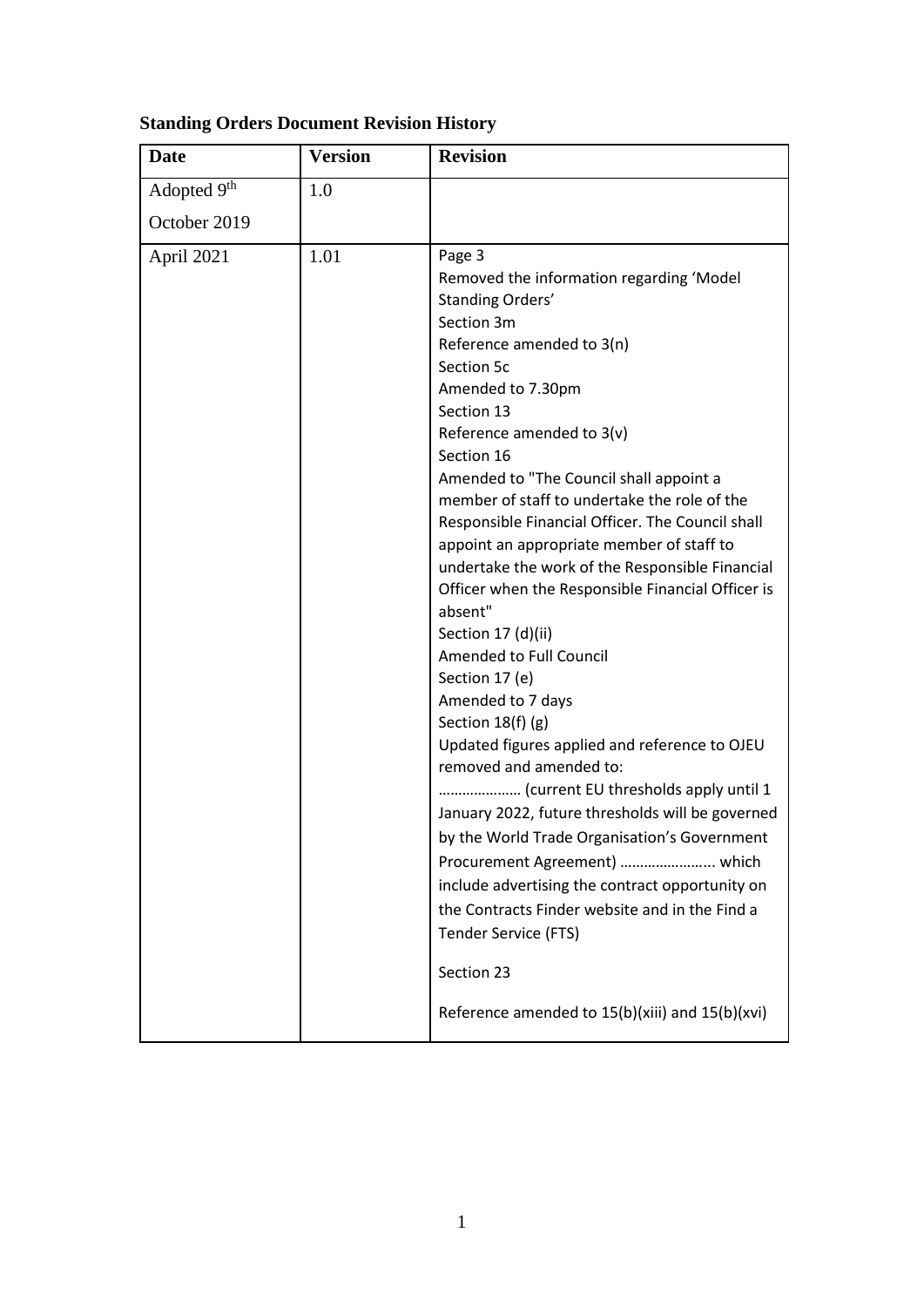| <b>Standing Orders Document Revision History</b> |  |
|--------------------------------------------------|--|
|                                                  |  |

| <b>Date</b>  | <b>Version</b> | <b>Revision</b>                                                                                                                                                                                                                                                                                                                                                                                                                                                                                                                                                                                                                                                                                                                                                                                                                                                                                                                                                                                                                                                                                           |
|--------------|----------------|-----------------------------------------------------------------------------------------------------------------------------------------------------------------------------------------------------------------------------------------------------------------------------------------------------------------------------------------------------------------------------------------------------------------------------------------------------------------------------------------------------------------------------------------------------------------------------------------------------------------------------------------------------------------------------------------------------------------------------------------------------------------------------------------------------------------------------------------------------------------------------------------------------------------------------------------------------------------------------------------------------------------------------------------------------------------------------------------------------------|
| Adopted 9th  | 1.0            |                                                                                                                                                                                                                                                                                                                                                                                                                                                                                                                                                                                                                                                                                                                                                                                                                                                                                                                                                                                                                                                                                                           |
| October 2019 |                |                                                                                                                                                                                                                                                                                                                                                                                                                                                                                                                                                                                                                                                                                                                                                                                                                                                                                                                                                                                                                                                                                                           |
| April 2021   | 1.01           | Page 3<br>Removed the information regarding 'Model<br>Standing Orders'<br>Section 3m<br>Reference amended to 3(n)<br>Section 5c<br>Amended to 7.30pm<br>Section 13<br>Reference amended to $3(v)$<br>Section 16<br>Amended to "The Council shall appoint a<br>member of staff to undertake the role of the<br>Responsible Financial Officer. The Council shall<br>appoint an appropriate member of staff to<br>undertake the work of the Responsible Financial<br>Officer when the Responsible Financial Officer is<br>absent"<br>Section 17 (d)(ii)<br>Amended to Full Council<br>Section 17 (e)<br>Amended to 7 days<br>Section 18(f) (g)<br>Updated figures applied and reference to OJEU<br>removed and amended to:<br>(current EU thresholds apply until 1<br>January 2022, future thresholds will be governed<br>by the World Trade Organisation's Government<br>Procurement Agreement)  which<br>include advertising the contract opportunity on<br>the Contracts Finder website and in the Find a<br><b>Tender Service (FTS)</b><br>Section 23<br>Reference amended to 15(b)(xiii) and 15(b)(xvi) |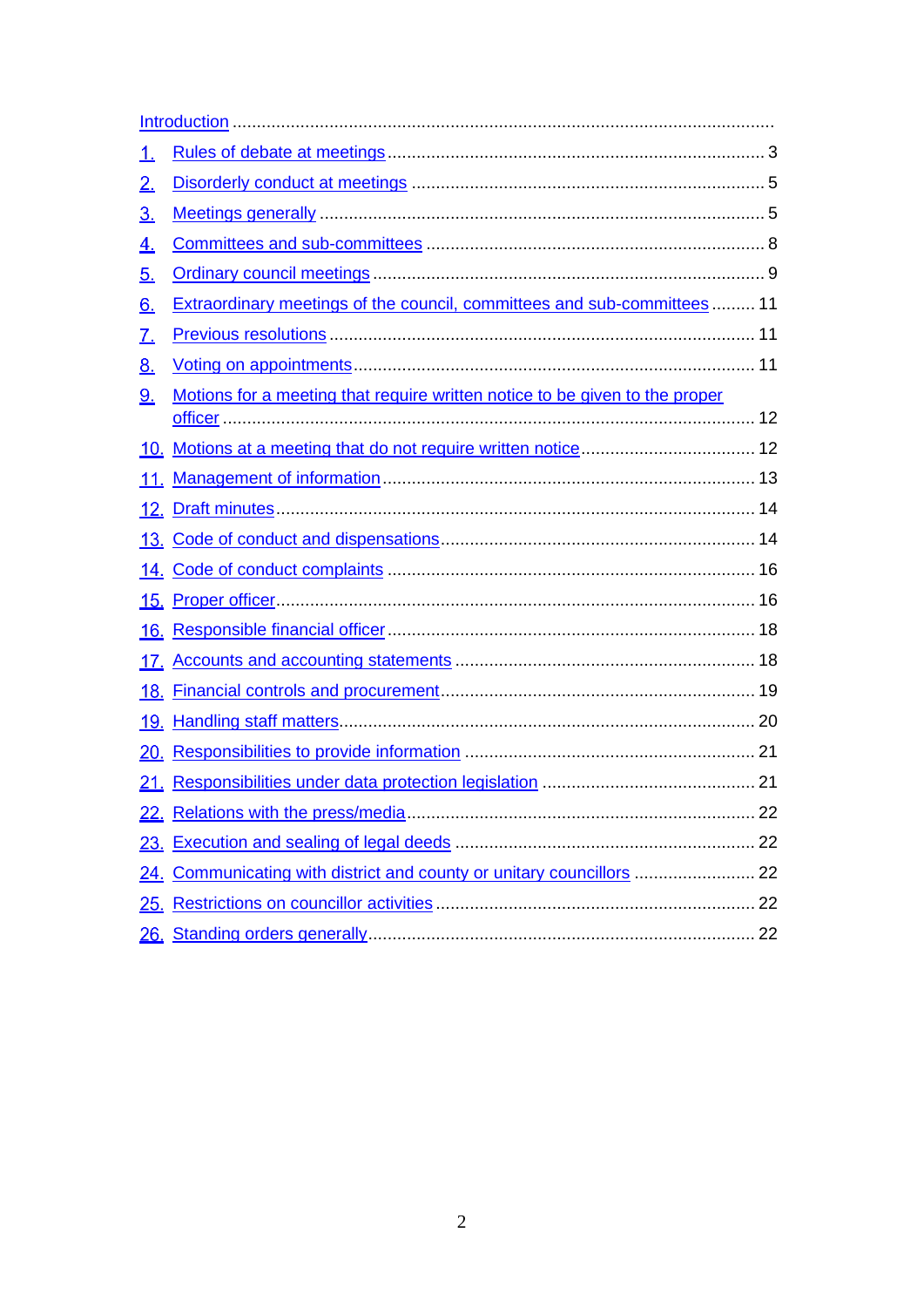| Motions for a meeting that require written notice to be given to the proper |                                                                                                                                                  |
|-----------------------------------------------------------------------------|--------------------------------------------------------------------------------------------------------------------------------------------------|
|                                                                             |                                                                                                                                                  |
|                                                                             |                                                                                                                                                  |
|                                                                             |                                                                                                                                                  |
|                                                                             |                                                                                                                                                  |
|                                                                             |                                                                                                                                                  |
|                                                                             |                                                                                                                                                  |
|                                                                             |                                                                                                                                                  |
|                                                                             |                                                                                                                                                  |
| <u> 18. </u>                                                                |                                                                                                                                                  |
|                                                                             |                                                                                                                                                  |
|                                                                             |                                                                                                                                                  |
|                                                                             |                                                                                                                                                  |
|                                                                             |                                                                                                                                                  |
|                                                                             |                                                                                                                                                  |
|                                                                             |                                                                                                                                                  |
| <u> 25. </u>                                                                |                                                                                                                                                  |
|                                                                             |                                                                                                                                                  |
|                                                                             | Extraordinary meetings of the council, committees and sub-committees 11<br>24. Communicating with district and county or unitary councillors  22 |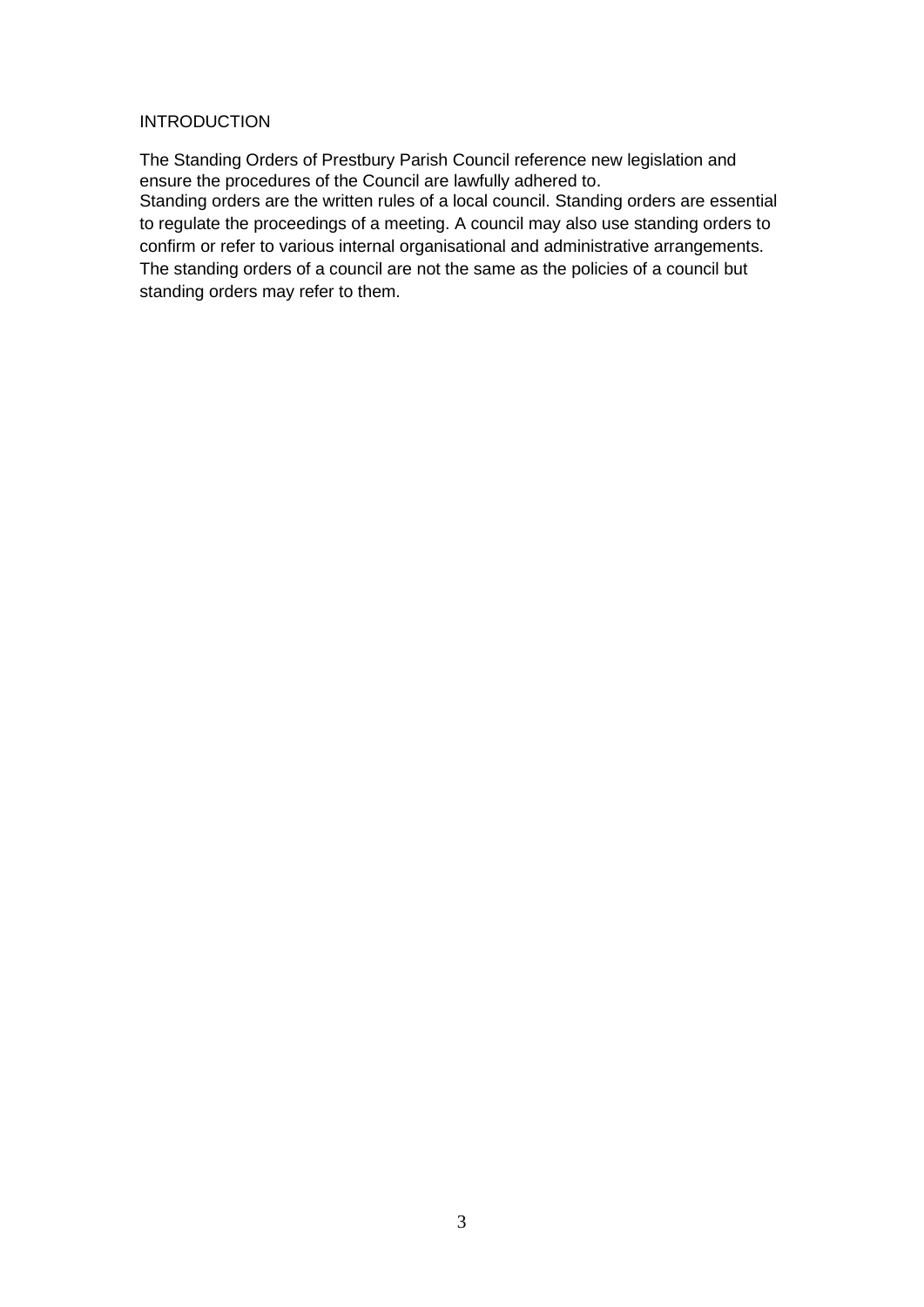### **INTRODUCTION**

The Standing Orders of Prestbury Parish Council reference new legislation and ensure the procedures of the Council are lawfully adhered to. Standing orders are the written rules of a local council. Standing orders are essential to regulate the proceedings of a meeting. A council may also use standing orders to confirm or refer to various internal organisational and administrative arrangements. The standing orders of a council are not the same as the policies of a council but standing orders may refer to them.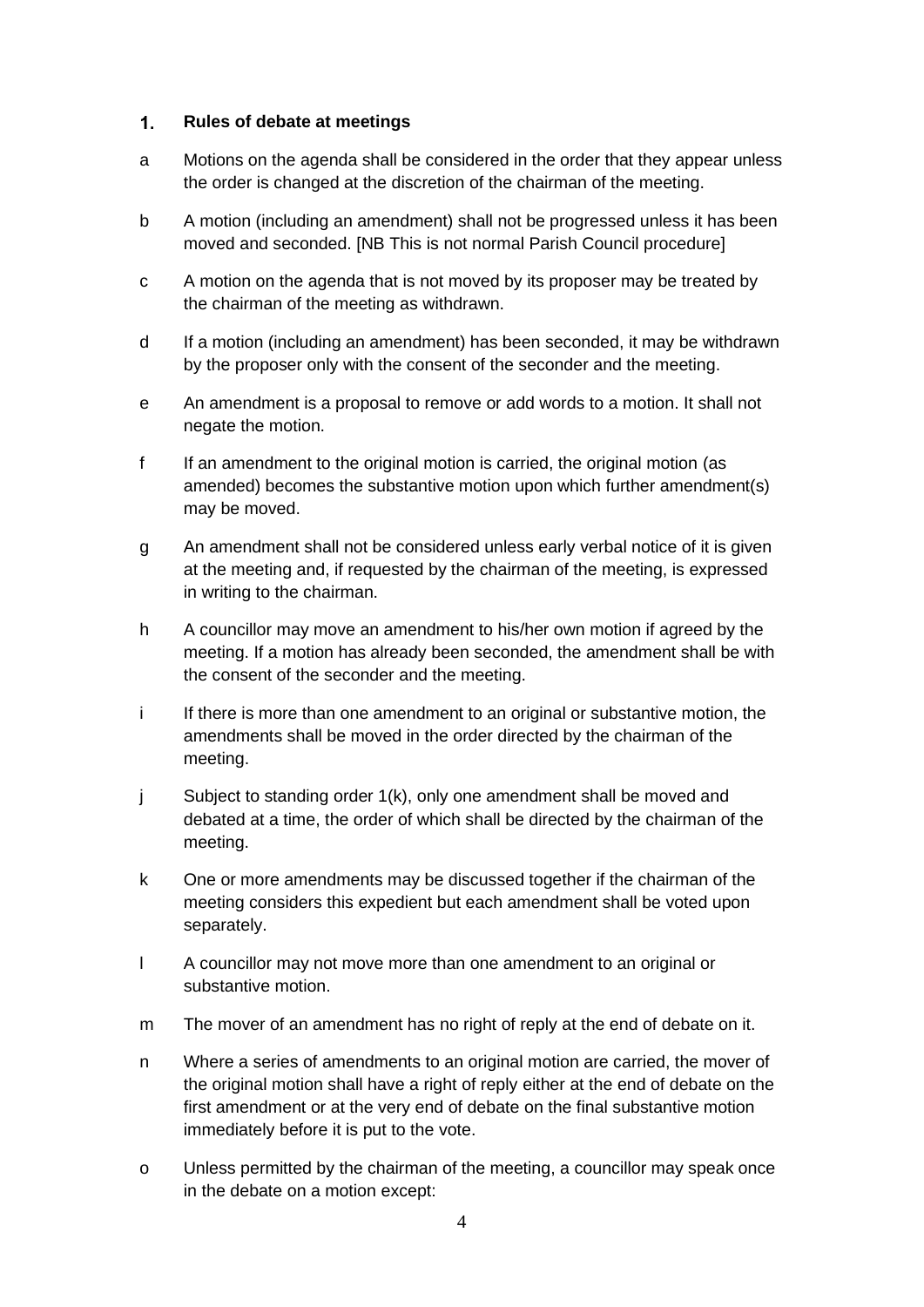#### <span id="page-3-0"></span> $1.$ **Rules of debate at meetings**

- a Motions on the agenda shall be considered in the order that they appear unless the order is changed at the discretion of the chairman of the meeting.
- b A motion (including an amendment) shall not be progressed unless it has been moved and seconded. [NB This is not normal Parish Council procedure]
- c A motion on the agenda that is not moved by its proposer may be treated by the chairman of the meeting as withdrawn.
- d If a motion (including an amendment) has been seconded, it may be withdrawn by the proposer only with the consent of the seconder and the meeting.
- e An amendment is a proposal to remove or add words to a motion. It shall not negate the motion.
- f If an amendment to the original motion is carried, the original motion (as amended) becomes the substantive motion upon which further amendment(s) may be moved.
- g An amendment shall not be considered unless early verbal notice of it is given at the meeting and, if requested by the chairman of the meeting, is expressed in writing to the chairman.
- h A councillor may move an amendment to his/her own motion if agreed by the meeting. If a motion has already been seconded, the amendment shall be with the consent of the seconder and the meeting.
- i If there is more than one amendment to an original or substantive motion, the amendments shall be moved in the order directed by the chairman of the meeting.
- j Subject to standing order 1(k), only one amendment shall be moved and debated at a time, the order of which shall be directed by the chairman of the meeting.
- k One or more amendments may be discussed together if the chairman of the meeting considers this expedient but each amendment shall be voted upon separately.
- l A councillor may not move more than one amendment to an original or substantive motion.
- m The mover of an amendment has no right of reply at the end of debate on it.
- n Where a series of amendments to an original motion are carried, the mover of the original motion shall have a right of reply either at the end of debate on the first amendment or at the very end of debate on the final substantive motion immediately before it is put to the vote.
- o Unless permitted by the chairman of the meeting, a councillor may speak once in the debate on a motion except: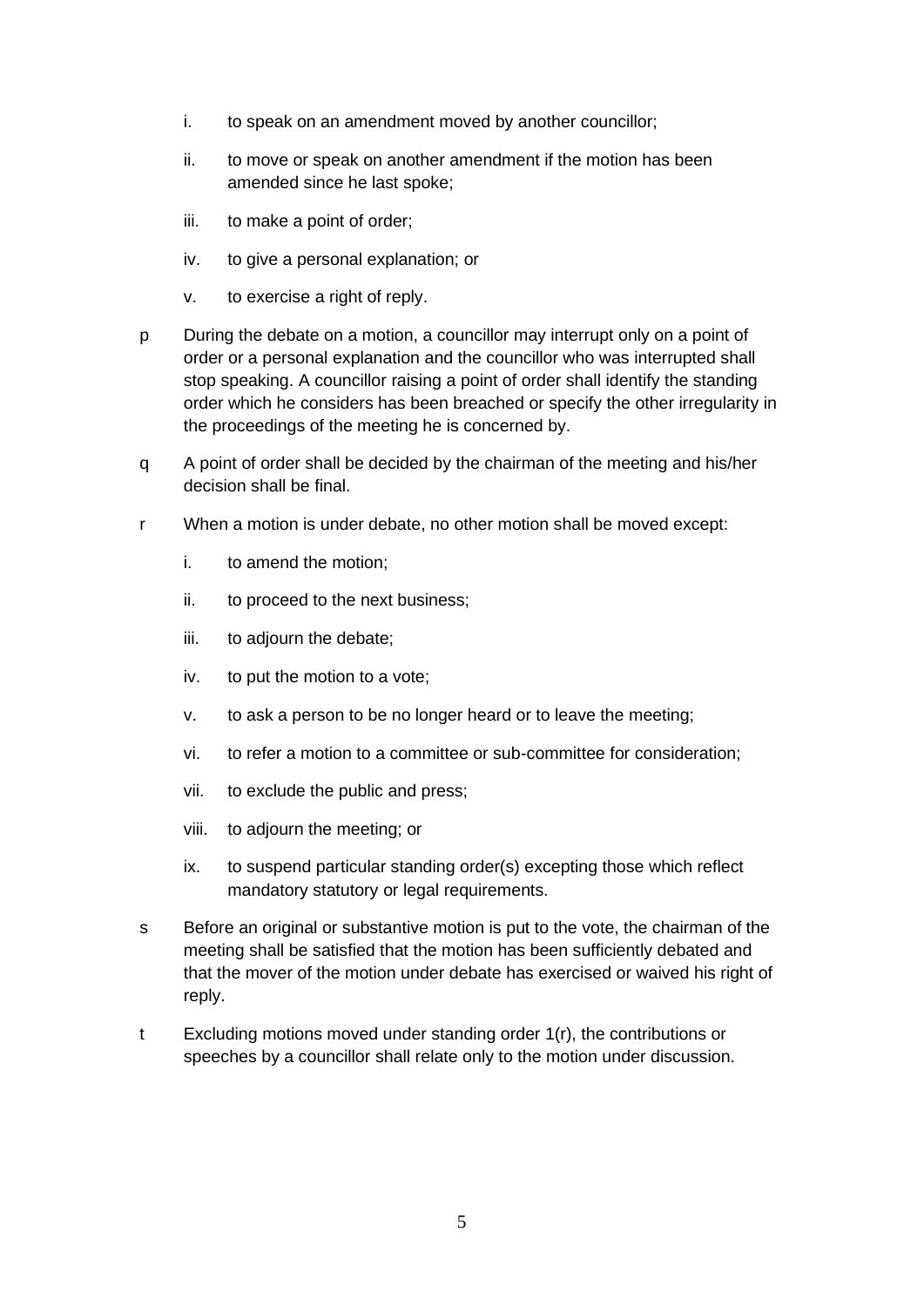- i. to speak on an amendment moved by another councillor;
- ii. to move or speak on another amendment if the motion has been amended since he last spoke;
- iii. to make a point of order;
- iv. to give a personal explanation; or
- v. to exercise a right of reply.
- p During the debate on a motion, a councillor may interrupt only on a point of order or a personal explanation and the councillor who was interrupted shall stop speaking. A councillor raising a point of order shall identify the standing order which he considers has been breached or specify the other irregularity in the proceedings of the meeting he is concerned by.
- q A point of order shall be decided by the chairman of the meeting and his/her decision shall be final.
- r When a motion is under debate, no other motion shall be moved except:
	- i. to amend the motion;
	- ii. to proceed to the next business;
	- iii. to adjourn the debate;
	- iv. to put the motion to a vote;
	- v. to ask a person to be no longer heard or to leave the meeting;
	- vi. to refer a motion to a committee or sub-committee for consideration;
	- vii. to exclude the public and press;
	- viii. to adjourn the meeting; or
	- ix. to suspend particular standing order(s) excepting those which reflect mandatory statutory or legal requirements.
- s Before an original or substantive motion is put to the vote, the chairman of the meeting shall be satisfied that the motion has been sufficiently debated and that the mover of the motion under debate has exercised or waived his right of reply.
- t Excluding motions moved under standing order 1(r), the contributions or speeches by a councillor shall relate only to the motion under discussion.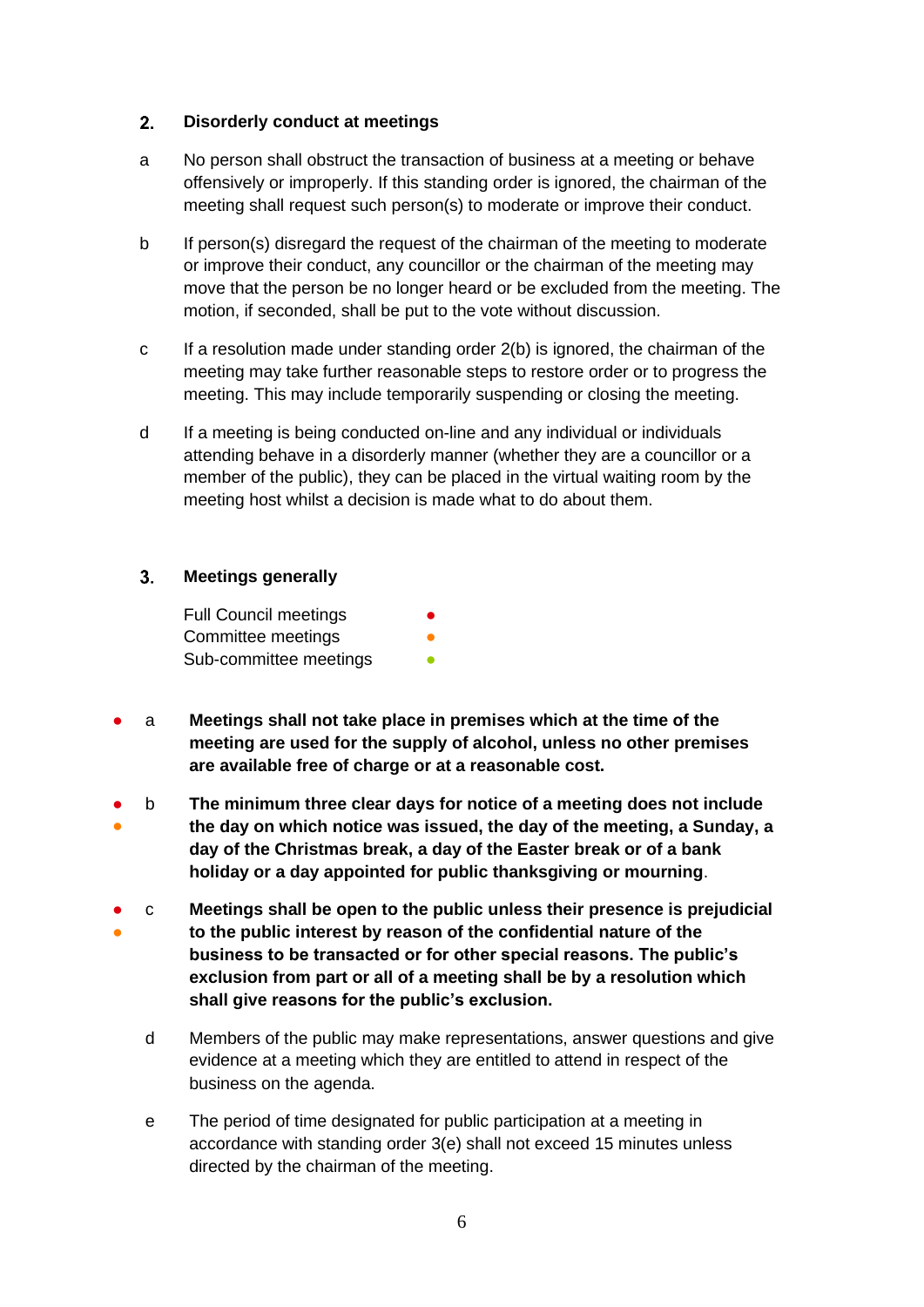#### <span id="page-5-0"></span> $2.$ **Disorderly conduct at meetings**

- a No person shall obstruct the transaction of business at a meeting or behave offensively or improperly. If this standing order is ignored, the chairman of the meeting shall request such person(s) to moderate or improve their conduct.
- b If person(s) disregard the request of the chairman of the meeting to moderate or improve their conduct, any councillor or the chairman of the meeting may move that the person be no longer heard or be excluded from the meeting. The motion, if seconded, shall be put to the vote without discussion.
- c If a resolution made under standing order 2(b) is ignored, the chairman of the meeting may take further reasonable steps to restore order or to progress the meeting. This may include temporarily suspending or closing the meeting.
- d If a meeting is being conducted on-line and any individual or individuals attending behave in a disorderly manner (whether they are a councillor or a member of the public), they can be placed in the virtual waiting room by the meeting host whilst a decision is made what to do about them.

#### <span id="page-5-1"></span> $3<sub>1</sub>$ **Meetings generally**

Full Council meetings Committee meetings Sub-committee meetings

- a **Meetings shall not take place in premises which at the time of the meeting are used for the supply of alcohol, unless no other premises are available free of charge or at a reasonable cost.**
- ● b **The minimum three clear days for notice of a meeting does not include the day on which notice was issued, the day of the meeting, a Sunday, a day of the Christmas break, a day of the Easter break or of a bank holiday or a day appointed for public thanksgiving or mourning**.
- ● c **Meetings shall be open to the public unless their presence is prejudicial to the public interest by reason of the confidential nature of the business to be transacted or for other special reasons. The public's exclusion from part or all of a meeting shall be by a resolution which shall give reasons for the public's exclusion.**
	- d Members of the public may make representations, answer questions and give evidence at a meeting which they are entitled to attend in respect of the business on the agenda.
	- e The period of time designated for public participation at a meeting in accordance with standing order 3(e) shall not exceed 15 minutes unless directed by the chairman of the meeting.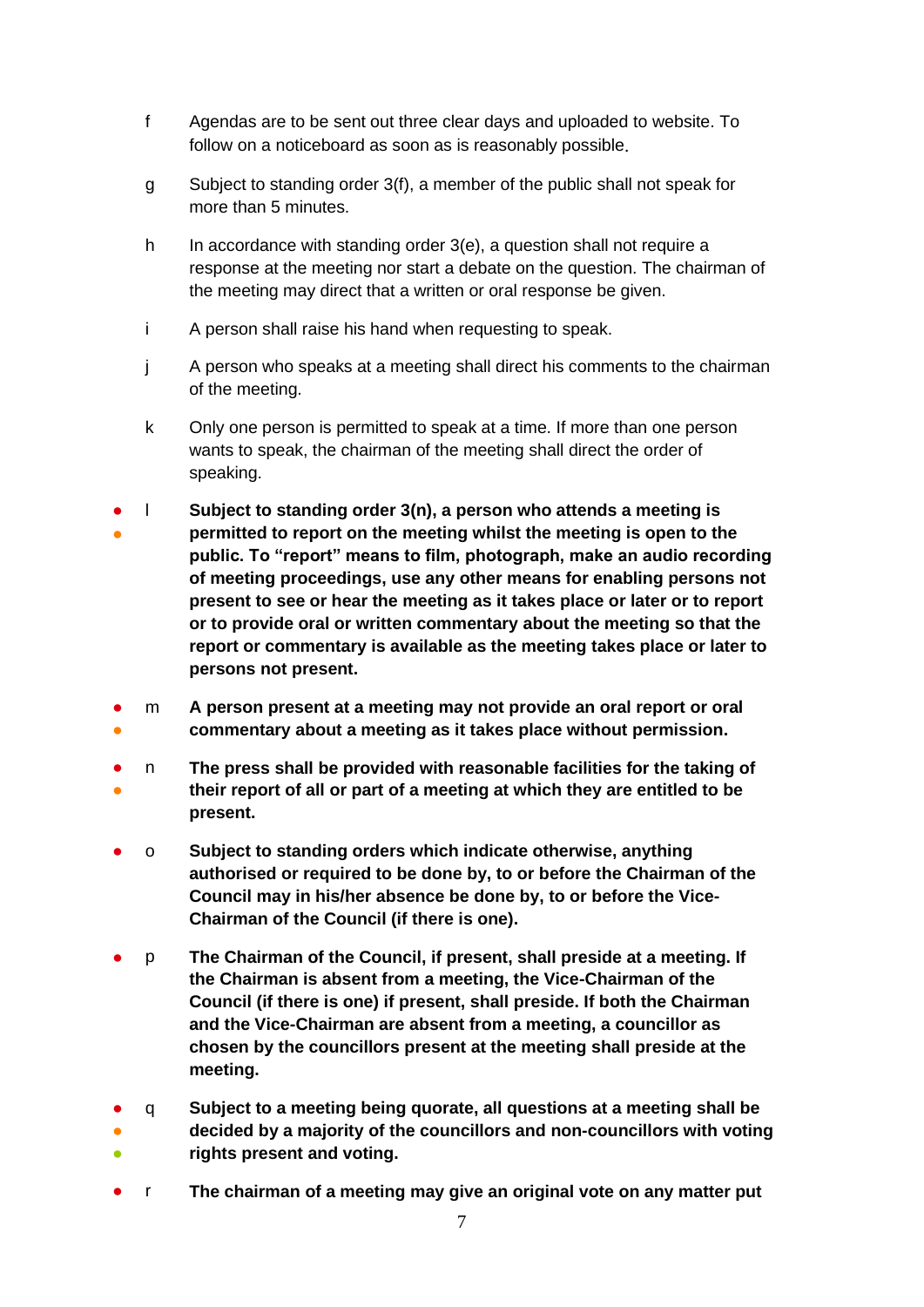- f Agendas are to be sent out three clear days and uploaded to website. To follow on a noticeboard as soon as is reasonably possible.
- g Subject to standing order 3(f), a member of the public shall not speak for more than 5 minutes.
- h In accordance with standing order 3(e), a question shall not require a response at the meeting nor start a debate on the question. The chairman of the meeting may direct that a written or oral response be given.
- i A person shall raise his hand when requesting to speak.
- j A person who speaks at a meeting shall direct his comments to the chairman of the meeting.
- k Only one person is permitted to speak at a time. If more than one person wants to speak, the chairman of the meeting shall direct the order of speaking.
- ● l **Subject to standing order 3(n), a person who attends a meeting is permitted to report on the meeting whilst the meeting is open to the public. To "report" means to film, photograph, make an audio recording of meeting proceedings, use any other means for enabling persons not present to see or hear the meeting as it takes place or later or to report or to provide oral or written commentary about the meeting so that the report or commentary is available as the meeting takes place or later to persons not present.**
- ● m **A person present at a meeting may not provide an oral report or oral commentary about a meeting as it takes place without permission.**
- ● n **The press shall be provided with reasonable facilities for the taking of their report of all or part of a meeting at which they are entitled to be present.**
- o **Subject to standing orders which indicate otherwise, anything authorised or required to be done by, to or before the Chairman of the Council may in his/her absence be done by, to or before the Vice-Chairman of the Council (if there is one).**
- p **The Chairman of the Council, if present, shall preside at a meeting. If the Chairman is absent from a meeting, the Vice-Chairman of the Council (if there is one) if present, shall preside. If both the Chairman and the Vice-Chairman are absent from a meeting, a councillor as chosen by the councillors present at the meeting shall preside at the meeting.**
- q **Subject to a meeting being quorate, all questions at a meeting shall be**
- ● **decided by a majority of the councillors and non-councillors with voting rights present and voting.**
- r **The chairman of a meeting may give an original vote on any matter put**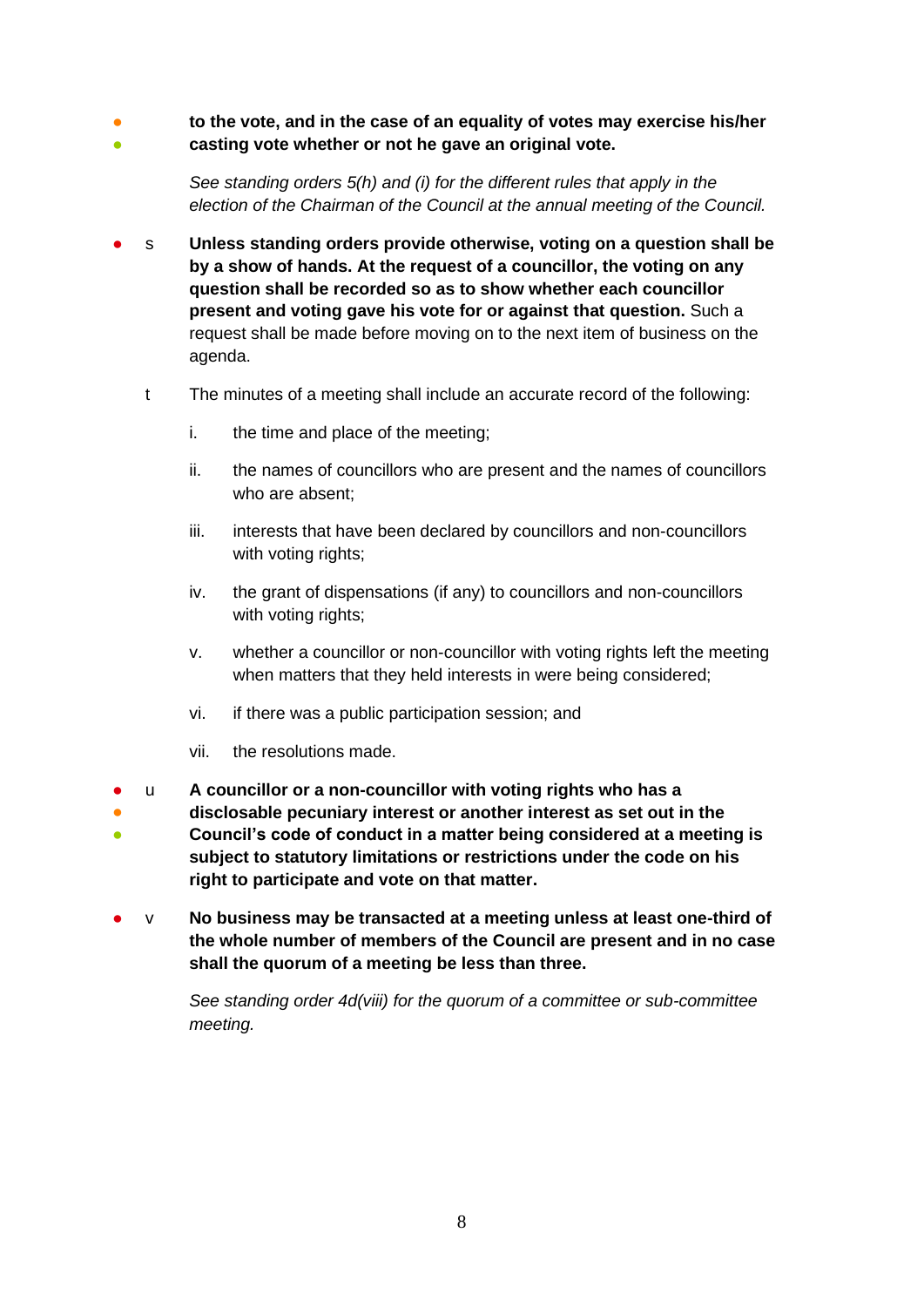● 。<br>● **to the vote, and in the case of an equality of votes may exercise his/her casting vote whether or not he gave an original vote.**

> *See standing orders 5(h) and (i) for the different rules that apply in the election of the Chairman of the Council at the annual meeting of the Council.*

- s **Unless standing orders provide otherwise, voting on a question shall be by a show of hands. At the request of a councillor, the voting on any question shall be recorded so as to show whether each councillor present and voting gave his vote for or against that question.** Such a request shall be made before moving on to the next item of business on the agenda.
	- t The minutes of a meeting shall include an accurate record of the following:
		- i. the time and place of the meeting;
		- ii. the names of councillors who are present and the names of councillors who are absent;
		- iii. interests that have been declared by councillors and non-councillors with voting rights;
		- iv. the grant of dispensations (if any) to councillors and non-councillors with voting rights;
		- v. whether a councillor or non-councillor with voting rights left the meeting when matters that they held interests in were being considered;
		- vi. if there was a public participation session; and
		- vii. the resolutions made.
- u **A councillor or a non-councillor with voting rights who has a**
- **disclosable pecuniary interest or another interest as set out in the**
- **Council's code of conduct in a matter being considered at a meeting is subject to statutory limitations or restrictions under the code on his right to participate and vote on that matter.**
- v **No business may be transacted at a meeting unless at least one-third of the whole number of members of the Council are present and in no case shall the quorum of a meeting be less than three.**

*See standing order 4d(viii) for the quorum of a committee or sub-committee meeting.*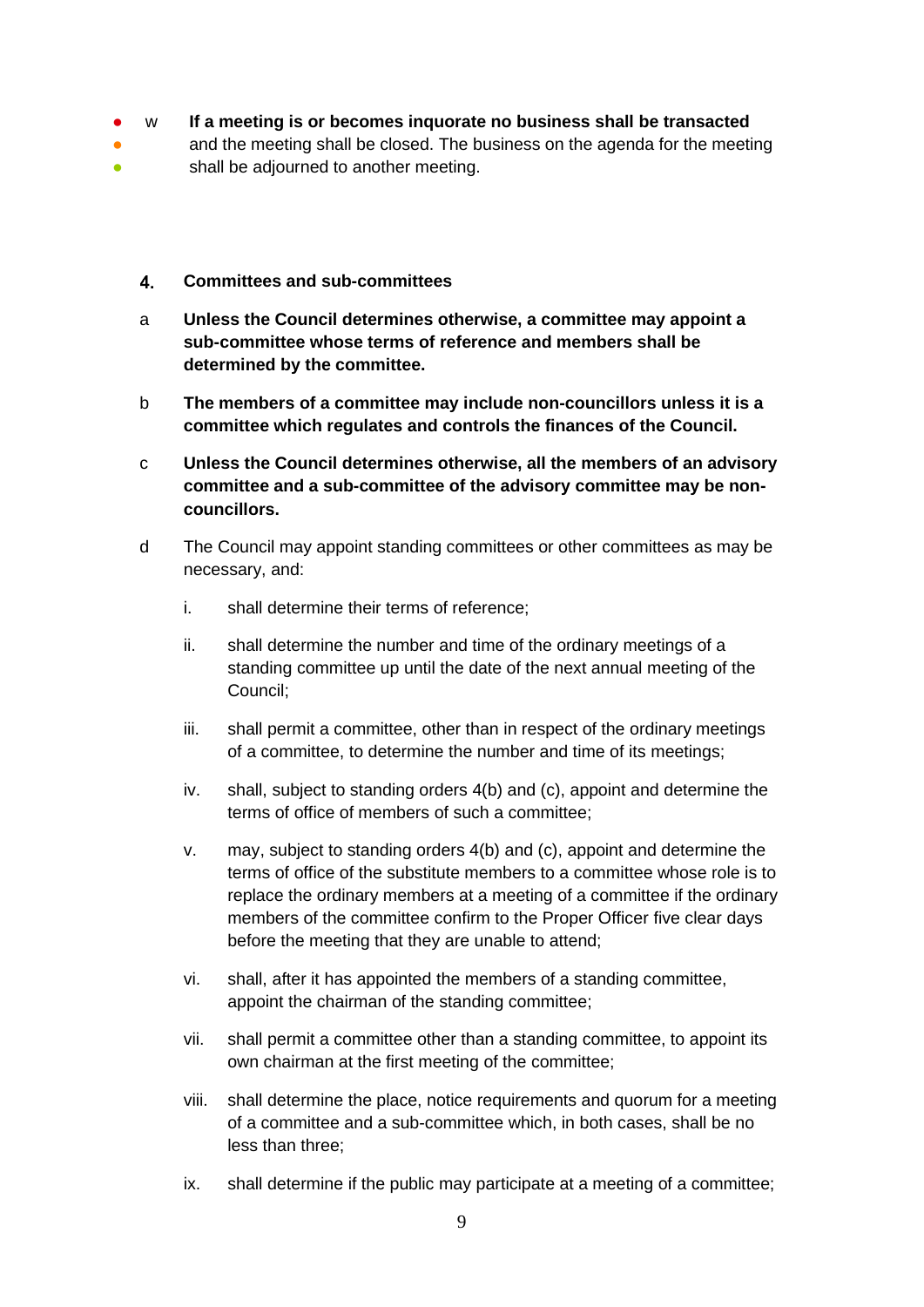- w **If a meeting is or becomes inquorate no business shall be transacted**
- and the meeting shall be closed. The business on the agenda for the meeting
- <span id="page-8-0"></span>● shall be adjourned to another meeting.
	- $4.$ **Committees and sub-committees**
	- a **Unless the Council determines otherwise, a committee may appoint a sub-committee whose terms of reference and members shall be determined by the committee.**
	- b **The members of a committee may include non-councillors unless it is a committee which regulates and controls the finances of the Council.**
	- c **Unless the Council determines otherwise, all the members of an advisory committee and a sub-committee of the advisory committee may be noncouncillors.**
	- d The Council may appoint standing committees or other committees as may be necessary, and:
		- i. shall determine their terms of reference;
		- ii. shall determine the number and time of the ordinary meetings of a standing committee up until the date of the next annual meeting of the Council;
		- iii. shall permit a committee, other than in respect of the ordinary meetings of a committee, to determine the number and time of its meetings;
		- iv. shall, subject to standing orders 4(b) and (c), appoint and determine the terms of office of members of such a committee;
		- v. may, subject to standing orders 4(b) and (c), appoint and determine the terms of office of the substitute members to a committee whose role is to replace the ordinary members at a meeting of a committee if the ordinary members of the committee confirm to the Proper Officer five clear days before the meeting that they are unable to attend;
		- vi. shall, after it has appointed the members of a standing committee, appoint the chairman of the standing committee;
		- vii. shall permit a committee other than a standing committee, to appoint its own chairman at the first meeting of the committee;
		- viii. shall determine the place, notice requirements and quorum for a meeting of a committee and a sub-committee which, in both cases, shall be no less than three;
		- ix. shall determine if the public may participate at a meeting of a committee;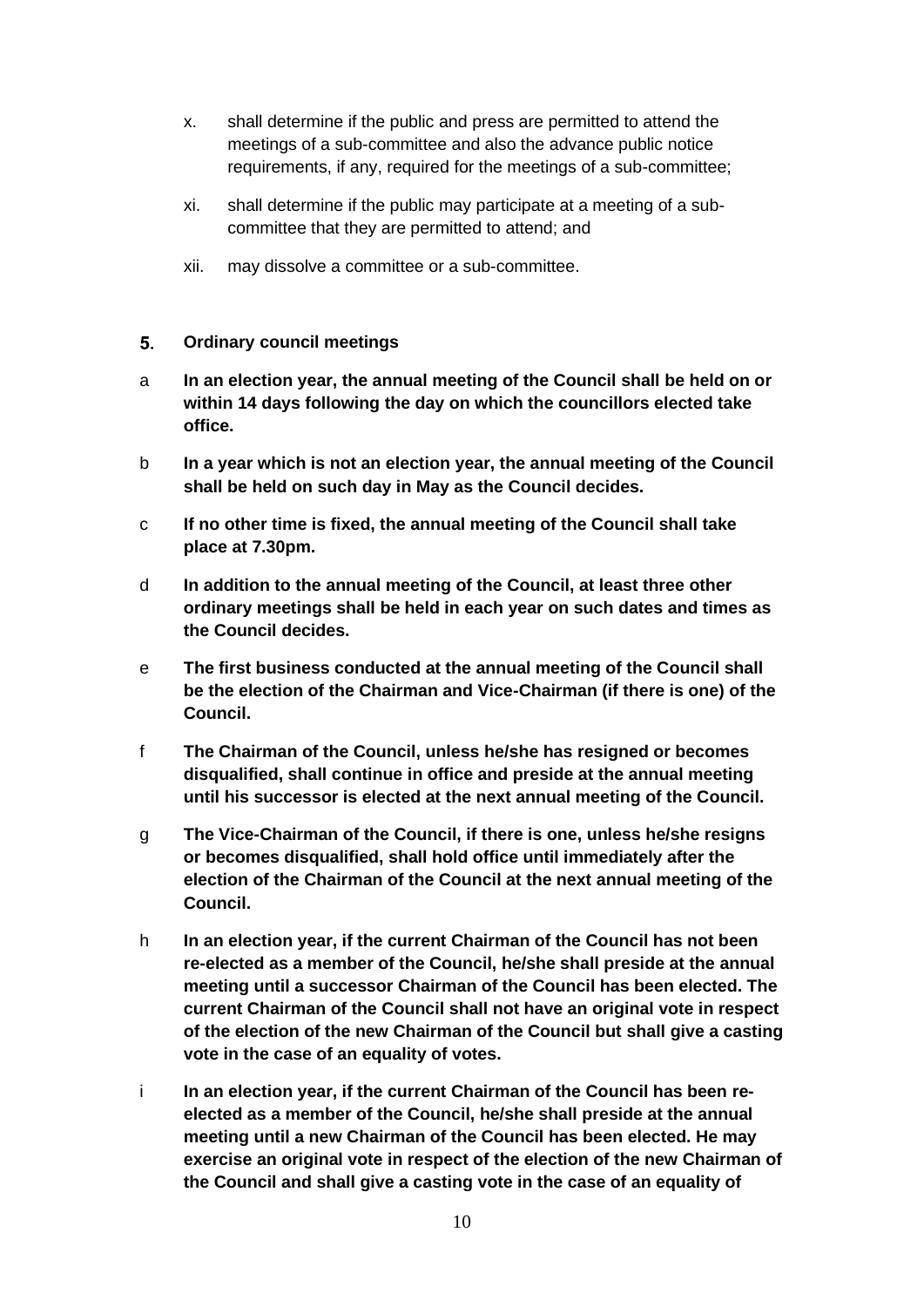- x. shall determine if the public and press are permitted to attend the meetings of a sub-committee and also the advance public notice requirements, if any, required for the meetings of a sub-committee;
- xi. shall determine if the public may participate at a meeting of a subcommittee that they are permitted to attend; and
- xii. may dissolve a committee or a sub-committee.

#### <span id="page-9-0"></span> $5.$ **Ordinary council meetings**

- a **In an election year, the annual meeting of the Council shall be held on or within 14 days following the day on which the councillors elected take office.**
- b **In a year which is not an election year, the annual meeting of the Council shall be held on such day in May as the Council decides.**
- c **If no other time is fixed, the annual meeting of the Council shall take place at 7.30pm.**
- d **In addition to the annual meeting of the Council, at least three other ordinary meetings shall be held in each year on such dates and times as the Council decides.**
- e **The first business conducted at the annual meeting of the Council shall be the election of the Chairman and Vice-Chairman (if there is one) of the Council.**
- f **The Chairman of the Council, unless he/she has resigned or becomes disqualified, shall continue in office and preside at the annual meeting until his successor is elected at the next annual meeting of the Council.**
- g **The Vice-Chairman of the Council, if there is one, unless he/she resigns or becomes disqualified, shall hold office until immediately after the election of the Chairman of the Council at the next annual meeting of the Council.**
- h **In an election year, if the current Chairman of the Council has not been re-elected as a member of the Council, he/she shall preside at the annual meeting until a successor Chairman of the Council has been elected. The current Chairman of the Council shall not have an original vote in respect of the election of the new Chairman of the Council but shall give a casting vote in the case of an equality of votes.**
- i **In an election year, if the current Chairman of the Council has been reelected as a member of the Council, he/she shall preside at the annual meeting until a new Chairman of the Council has been elected. He may exercise an original vote in respect of the election of the new Chairman of the Council and shall give a casting vote in the case of an equality of**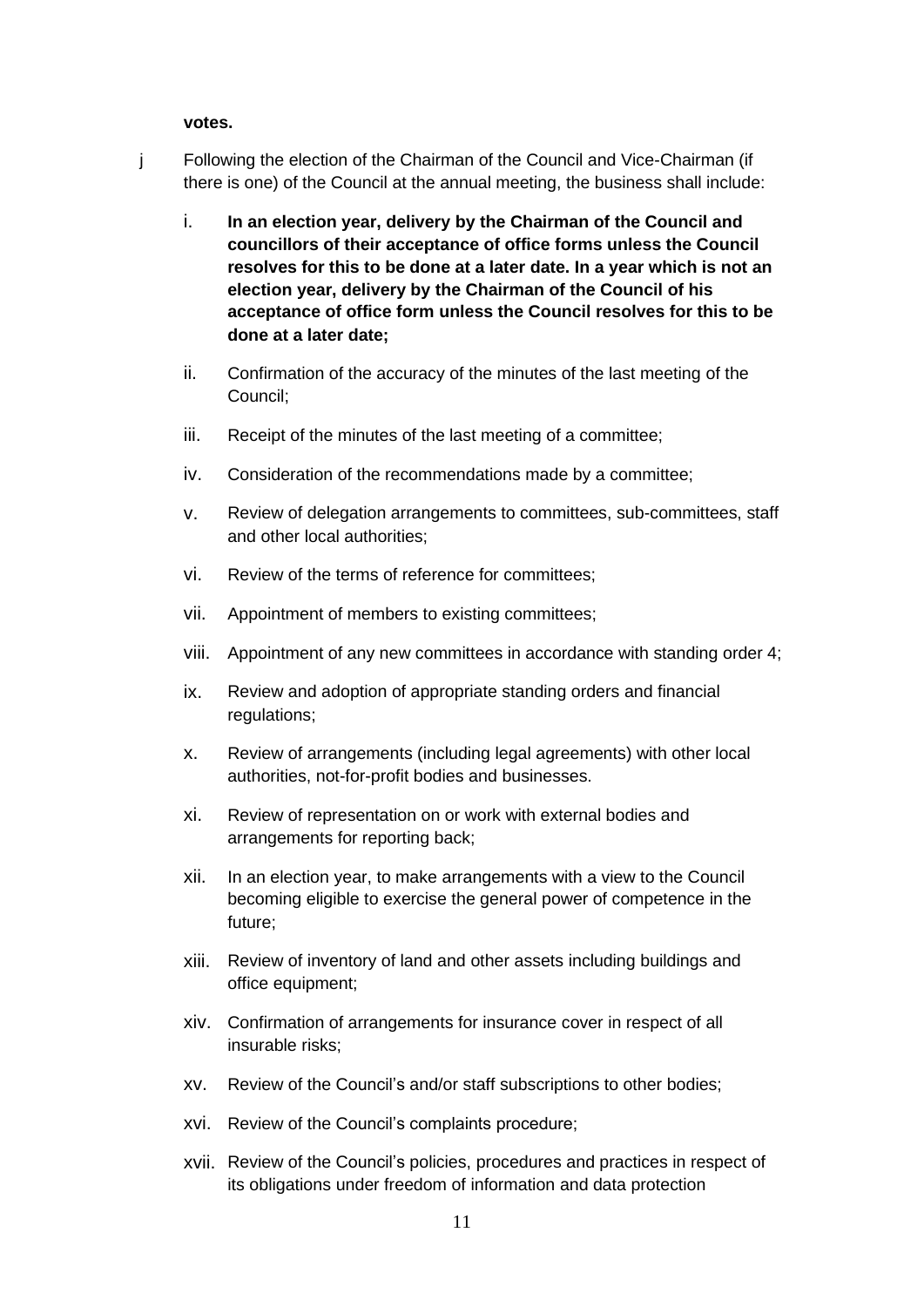### **votes.**

- j Following the election of the Chairman of the Council and Vice-Chairman (if there is one) of the Council at the annual meeting, the business shall include:
	- i. **In an election year, delivery by the Chairman of the Council and councillors of their acceptance of office forms unless the Council resolves for this to be done at a later date. In a year which is not an election year, delivery by the Chairman of the Council of his acceptance of office form unless the Council resolves for this to be done at a later date;**
	- ii. Confirmation of the accuracy of the minutes of the last meeting of the Council;
	- iii. Receipt of the minutes of the last meeting of a committee;
	- iv. Consideration of the recommendations made by a committee;
	- v. Review of delegation arrangements to committees, sub-committees, staff and other local authorities;
	- vi. Review of the terms of reference for committees;
	- vii. Appointment of members to existing committees;
	- viii. Appointment of any new committees in accordance with standing order 4;
	- ix. Review and adoption of appropriate standing orders and financial regulations;
	- x. Review of arrangements (including legal agreements) with other local authorities, not-for-profit bodies and businesses.
	- xi. Review of representation on or work with external bodies and arrangements for reporting back;
	- xii. In an election year, to make arrangements with a view to the Council becoming eligible to exercise the general power of competence in the future;
	- xiii. Review of inventory of land and other assets including buildings and office equipment;
	- xiv. Confirmation of arrangements for insurance cover in respect of all insurable risks;
	- xv. Review of the Council's and/or staff subscriptions to other bodies;
	- xvi. Review of the Council's complaints procedure;
	- xvii. Review of the Council's policies, procedures and practices in respect of its obligations under freedom of information and data protection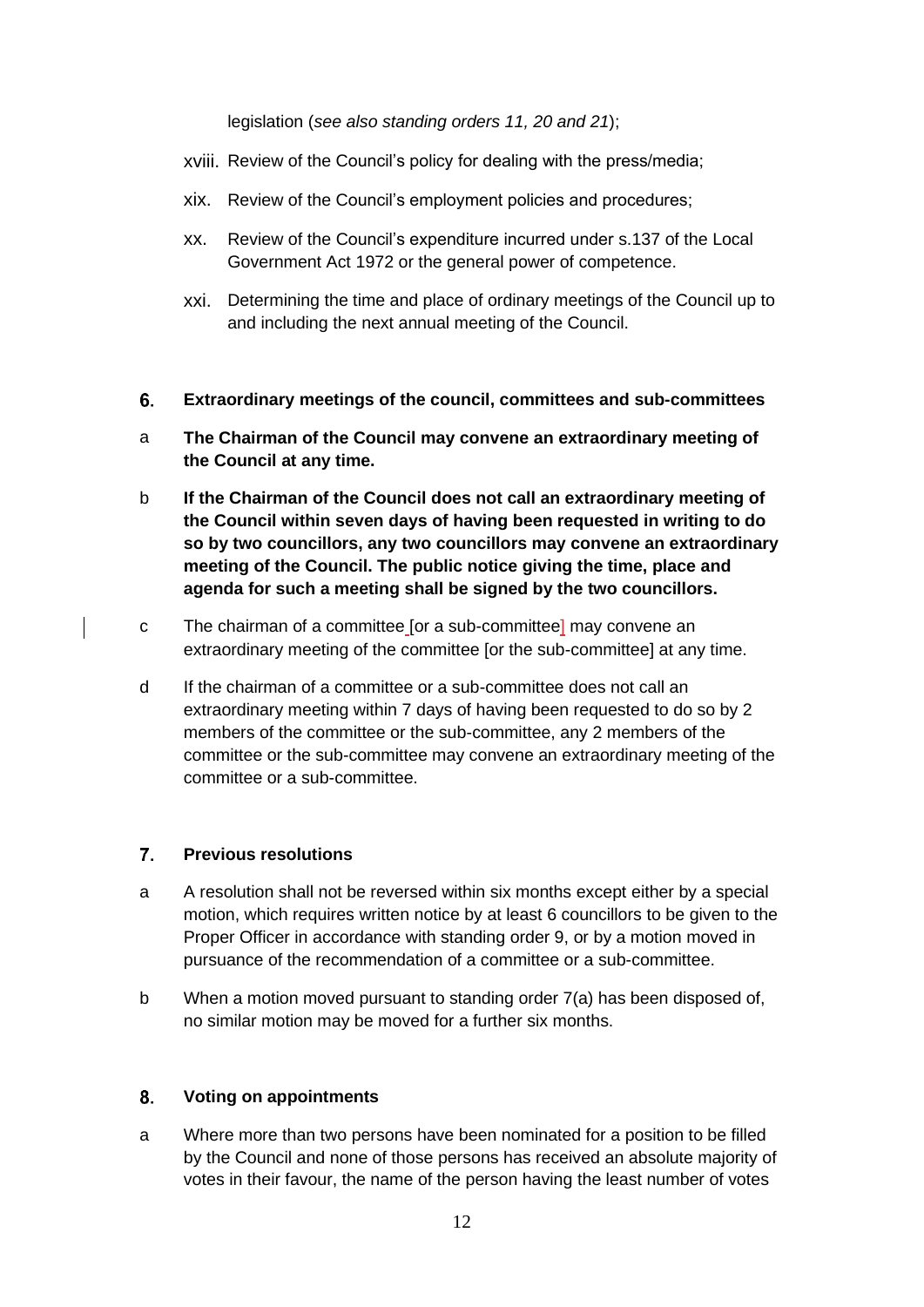legislation (*see also standing orders 11, 20 and 21*);

- xviii. Review of the Council's policy for dealing with the press/media;
- xix. Review of the Council's employment policies and procedures;
- xx. Review of the Council's expenditure incurred under s.137 of the Local Government Act 1972 or the general power of competence.
- xxi. Determining the time and place of ordinary meetings of the Council up to and including the next annual meeting of the Council.
- <span id="page-11-0"></span>6. **Extraordinary meetings of the council, committees and sub-committees**
- a **The Chairman of the Council may convene an extraordinary meeting of the Council at any time.**
- b **If the Chairman of the Council does not call an extraordinary meeting of the Council within seven days of having been requested in writing to do so by two councillors, any two councillors may convene an extraordinary meeting of the Council. The public notice giving the time, place and agenda for such a meeting shall be signed by the two councillors.**
- c The chairman of a committee [or a sub-committee] may convene an extraordinary meeting of the committee [or the sub-committee] at any time.
- d If the chairman of a committee or a sub-committee does not call an extraordinary meeting within 7 days of having been requested to do so by 2 members of the committee or the sub-committee, any 2 members of the committee or the sub-committee may convene an extraordinary meeting of the committee or a sub-committee.

#### <span id="page-11-1"></span> $\overline{7}$ . **Previous resolutions**

- a A resolution shall not be reversed within six months except either by a special motion, which requires written notice by at least 6 councillors to be given to the Proper Officer in accordance with standing order 9, or by a motion moved in pursuance of the recommendation of a committee or a sub-committee.
- b When a motion moved pursuant to standing order 7(a) has been disposed of, no similar motion may be moved for a further six months.

#### <span id="page-11-2"></span>8. **Voting on appointments**

a Where more than two persons have been nominated for a position to be filled by the Council and none of those persons has received an absolute majority of votes in their favour, the name of the person having the least number of votes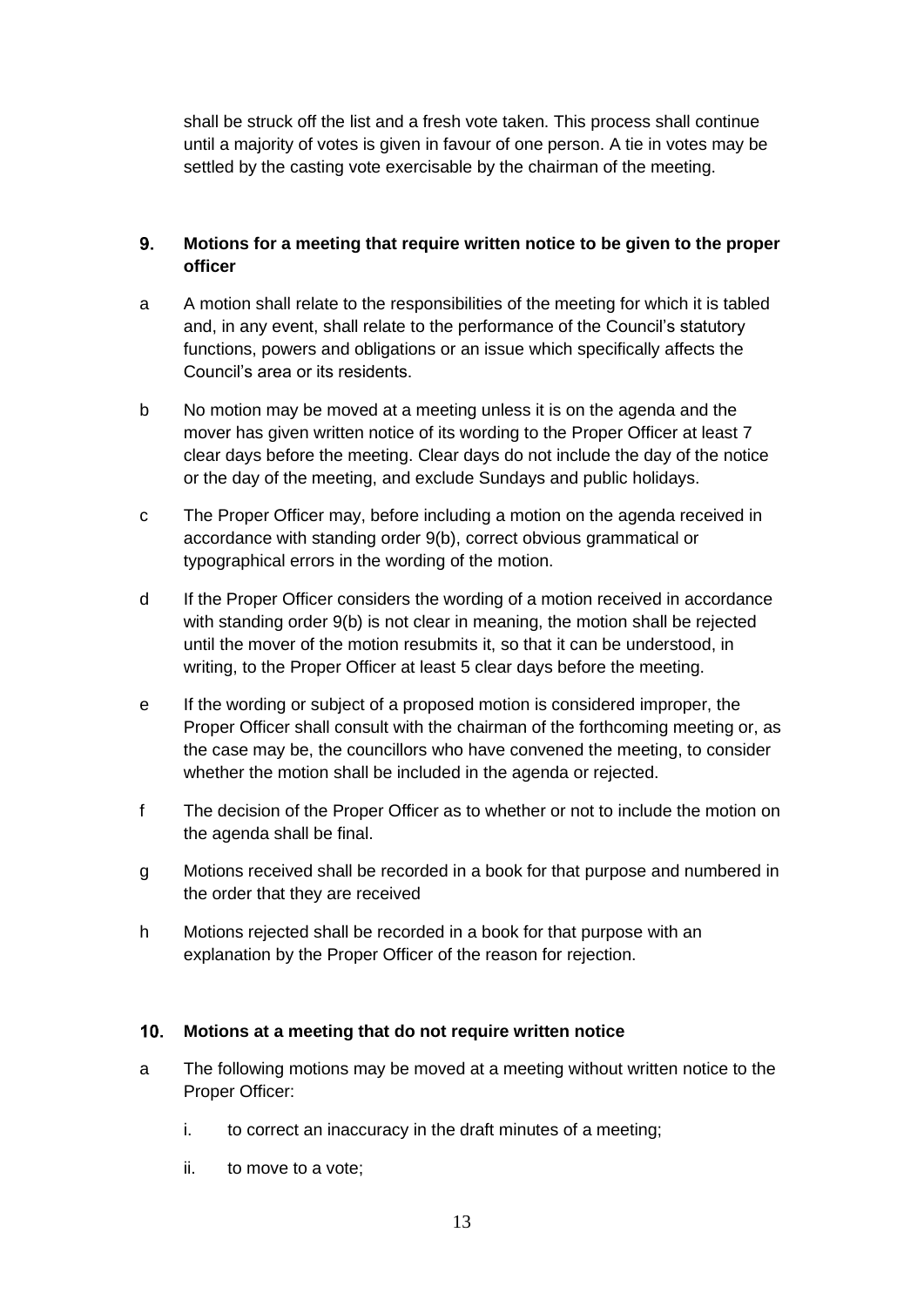shall be struck off the list and a fresh vote taken. This process shall continue until a majority of votes is given in favour of one person. A tie in votes may be settled by the casting vote exercisable by the chairman of the meeting.

### <span id="page-12-0"></span> $9<sub>-</sub>$ **Motions for a meeting that require written notice to be given to the proper officer**

- a A motion shall relate to the responsibilities of the meeting for which it is tabled and, in any event, shall relate to the performance of the Council's statutory functions, powers and obligations or an issue which specifically affects the Council's area or its residents.
- b No motion may be moved at a meeting unless it is on the agenda and the mover has given written notice of its wording to the Proper Officer at least 7 clear days before the meeting. Clear days do not include the day of the notice or the day of the meeting, and exclude Sundays and public holidays.
- c The Proper Officer may, before including a motion on the agenda received in accordance with standing order 9(b), correct obvious grammatical or typographical errors in the wording of the motion.
- d If the Proper Officer considers the wording of a motion received in accordance with standing order 9(b) is not clear in meaning, the motion shall be rejected until the mover of the motion resubmits it, so that it can be understood, in writing, to the Proper Officer at least 5 clear days before the meeting.
- e If the wording or subject of a proposed motion is considered improper, the Proper Officer shall consult with the chairman of the forthcoming meeting or, as the case may be, the councillors who have convened the meeting, to consider whether the motion shall be included in the agenda or rejected.
- f The decision of the Proper Officer as to whether or not to include the motion on the agenda shall be final.
- g Motions received shall be recorded in a book for that purpose and numbered in the order that they are received
- h Motions rejected shall be recorded in a book for that purpose with an explanation by the Proper Officer of the reason for rejection.

### <span id="page-12-1"></span> $10<sub>1</sub>$ **Motions at a meeting that do not require written notice**

- a The following motions may be moved at a meeting without written notice to the Proper Officer:
	- i. to correct an inaccuracy in the draft minutes of a meeting;
	- ii. to move to a vote;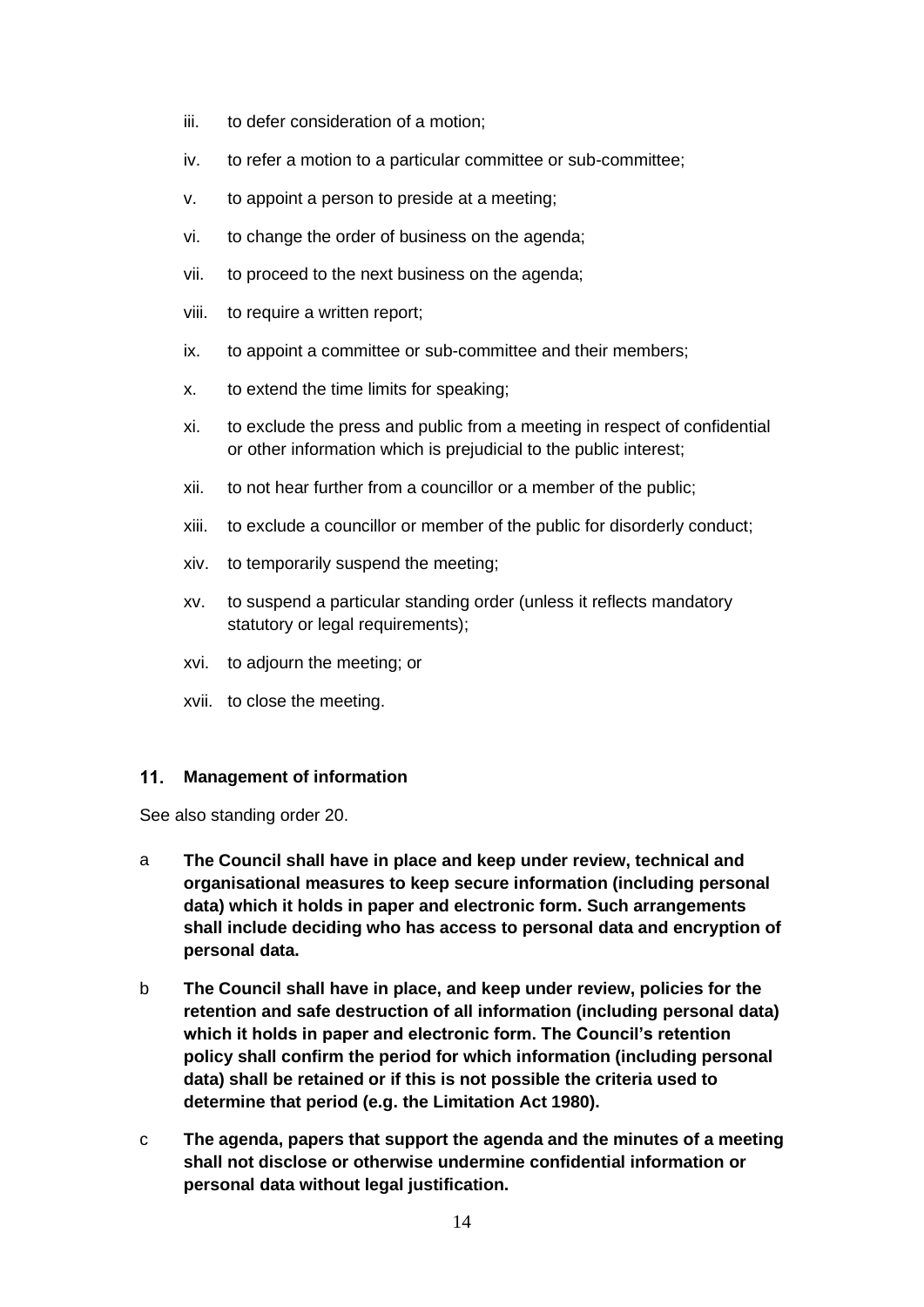- iii. to defer consideration of a motion;
- iv. to refer a motion to a particular committee or sub-committee;
- v. to appoint a person to preside at a meeting;
- vi. to change the order of business on the agenda;
- vii. to proceed to the next business on the agenda;
- viii. to require a written report;
- ix. to appoint a committee or sub-committee and their members;
- x. to extend the time limits for speaking;
- xi. to exclude the press and public from a meeting in respect of confidential or other information which is prejudicial to the public interest;
- xii. to not hear further from a councillor or a member of the public;
- xiii. to exclude a councillor or member of the public for disorderly conduct;
- xiv. to temporarily suspend the meeting;
- xv. to suspend a particular standing order (unless it reflects mandatory statutory or legal requirements);
- xvi. to adjourn the meeting; or
- xvii. to close the meeting.

#### <span id="page-13-0"></span> $11.$ **Management of information**

See also standing order 20.

- a **The Council shall have in place and keep under review, technical and organisational measures to keep secure information (including personal data) which it holds in paper and electronic form. Such arrangements shall include deciding who has access to personal data and encryption of personal data.**
- b **The Council shall have in place, and keep under review, policies for the retention and safe destruction of all information (including personal data) which it holds in paper and electronic form. The Council's retention policy shall confirm the period for which information (including personal data) shall be retained or if this is not possible the criteria used to determine that period (e.g. the Limitation Act 1980).**
- c **The agenda, papers that support the agenda and the minutes of a meeting shall not disclose or otherwise undermine confidential information or personal data without legal justification.**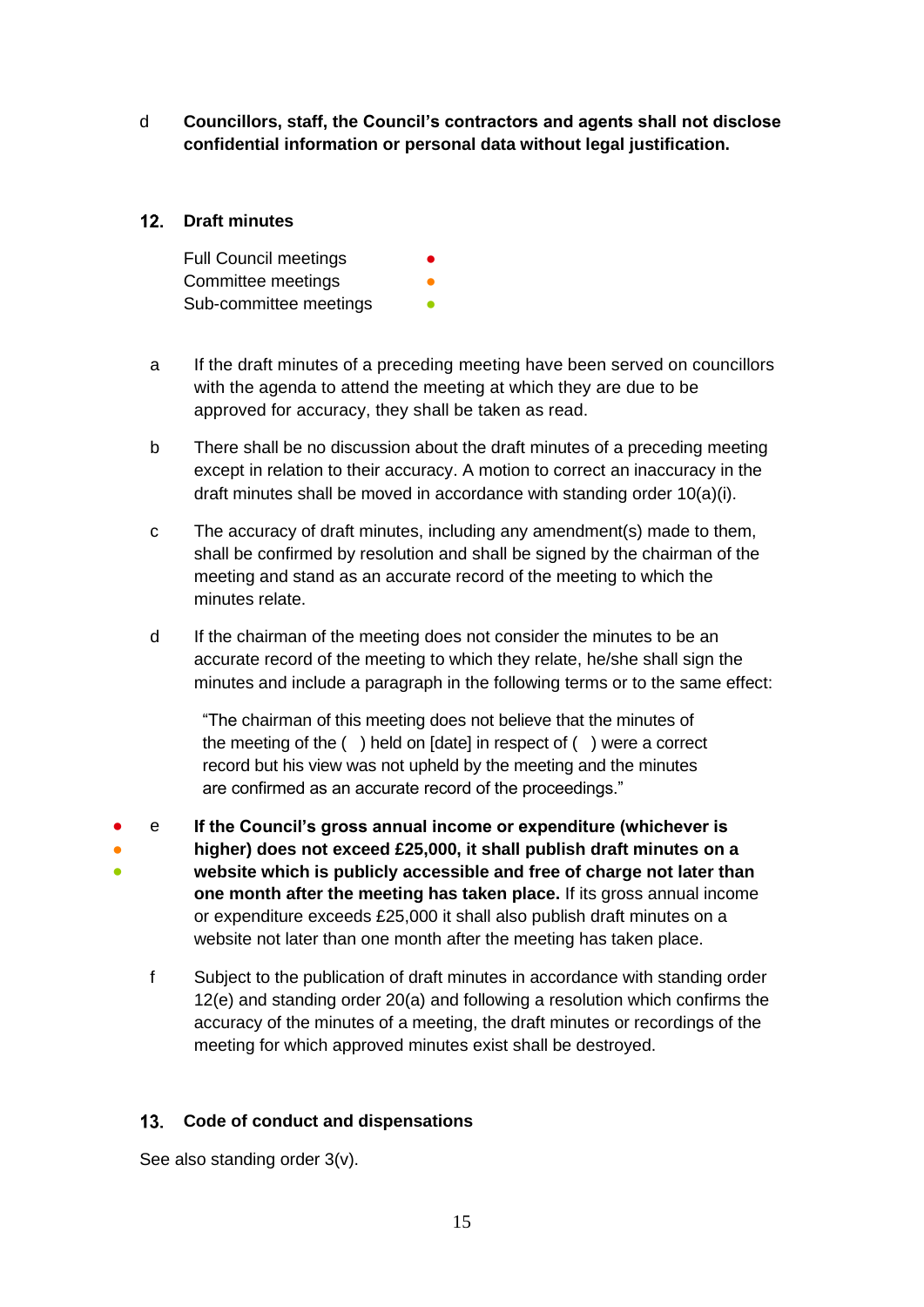d **Councillors, staff, the Council's contractors and agents shall not disclose confidential information or personal data without legal justification.**

# <span id="page-14-0"></span>12. Draft minutes

Full Council meetings Committee meetings Sub-committee meetings

- a If the draft minutes of a preceding meeting have been served on councillors with the agenda to attend the meeting at which they are due to be approved for accuracy, they shall be taken as read.
- b There shall be no discussion about the draft minutes of a preceding meeting except in relation to their accuracy. A motion to correct an inaccuracy in the draft minutes shall be moved in accordance with standing order 10(a)(i).
- c The accuracy of draft minutes, including any amendment(s) made to them, shall be confirmed by resolution and shall be signed by the chairman of the meeting and stand as an accurate record of the meeting to which the minutes relate.
- d If the chairman of the meeting does not consider the minutes to be an accurate record of the meeting to which they relate, he/she shall sign the minutes and include a paragraph in the following terms or to the same effect:

"The chairman of this meeting does not believe that the minutes of the meeting of the ( ) held on [date] in respect of ( ) were a correct record but his view was not upheld by the meeting and the minutes are confirmed as an accurate record of the proceedings."

- ● ● e **If the Council's gross annual income or expenditure (whichever is higher) does not exceed £25,000, it shall publish draft minutes on a website which is publicly accessible and free of charge not later than one month after the meeting has taken place.** If its gross annual income or expenditure exceeds £25,000 it shall also publish draft minutes on a website not later than one month after the meeting has taken place.
	- f Subject to the publication of draft minutes in accordance with standing order 12(e) and standing order 20(a) and following a resolution which confirms the accuracy of the minutes of a meeting, the draft minutes or recordings of the meeting for which approved minutes exist shall be destroyed.

# <span id="page-14-1"></span>**Code of conduct and dispensations**

See also standing order 3(v).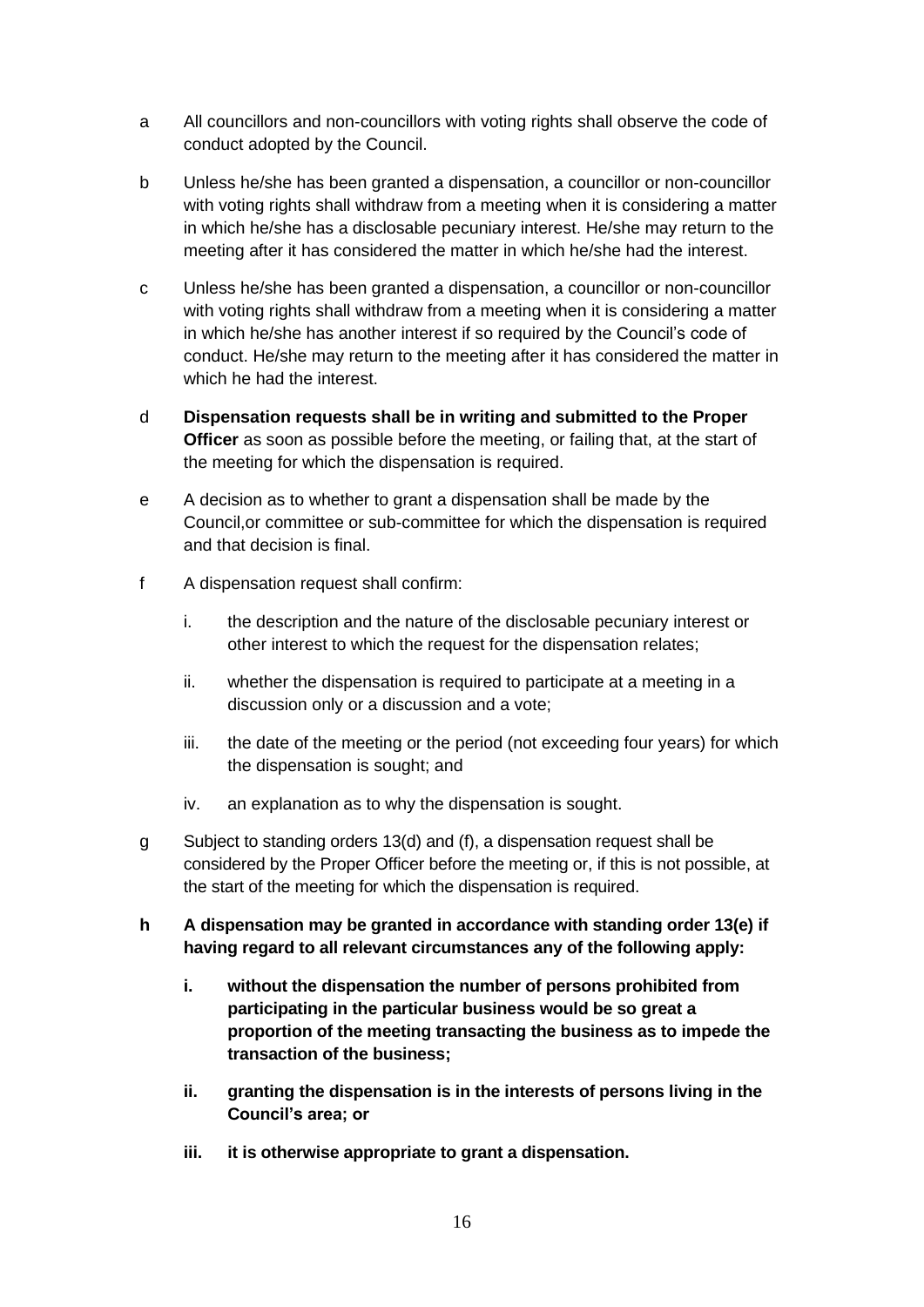- a All councillors and non-councillors with voting rights shall observe the code of conduct adopted by the Council.
- b Unless he/she has been granted a dispensation, a councillor or non-councillor with voting rights shall withdraw from a meeting when it is considering a matter in which he/she has a disclosable pecuniary interest. He/she may return to the meeting after it has considered the matter in which he/she had the interest.
- c Unless he/she has been granted a dispensation, a councillor or non-councillor with voting rights shall withdraw from a meeting when it is considering a matter in which he/she has another interest if so required by the Council's code of conduct. He/she may return to the meeting after it has considered the matter in which he had the interest.
- d **Dispensation requests shall be in writing and submitted to the Proper Officer** as soon as possible before the meeting, or failing that, at the start of the meeting for which the dispensation is required.
- e A decision as to whether to grant a dispensation shall be made by the Council,or committee or sub-committee for which the dispensation is required and that decision is final.
- f A dispensation request shall confirm:
	- i. the description and the nature of the disclosable pecuniary interest or other interest to which the request for the dispensation relates;
	- ii. whether the dispensation is required to participate at a meeting in a discussion only or a discussion and a vote;
	- iii. the date of the meeting or the period (not exceeding four years) for which the dispensation is sought; and
	- iv. an explanation as to why the dispensation is sought.
- g Subject to standing orders 13(d) and (f), a dispensation request shall be considered by the Proper Officer before the meeting or, if this is not possible, at the start of the meeting for which the dispensation is required.
- **h A dispensation may be granted in accordance with standing order 13(e) if having regard to all relevant circumstances any of the following apply:**
	- **i. without the dispensation the number of persons prohibited from participating in the particular business would be so great a proportion of the meeting transacting the business as to impede the transaction of the business;**
	- **ii. granting the dispensation is in the interests of persons living in the Council's area; or**
	- **iii. it is otherwise appropriate to grant a dispensation.**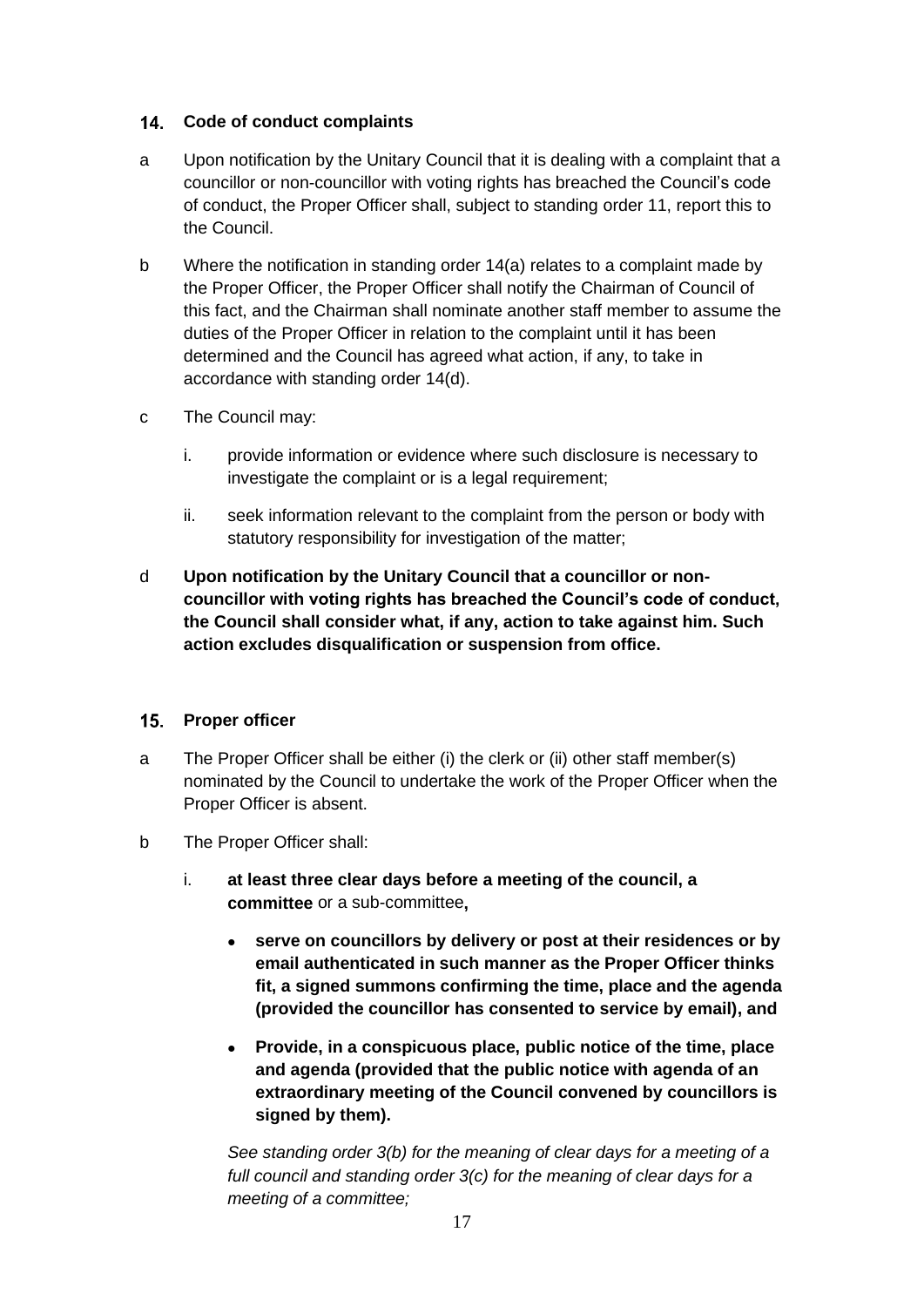# <span id="page-16-0"></span>**Code of conduct complaints**

- a Upon notification by the Unitary Council that it is dealing with a complaint that a councillor or non-councillor with voting rights has breached the Council's code of conduct, the Proper Officer shall, subject to standing order 11, report this to the Council.
- b Where the notification in standing order 14(a) relates to a complaint made by the Proper Officer, the Proper Officer shall notify the Chairman of Council of this fact, and the Chairman shall nominate another staff member to assume the duties of the Proper Officer in relation to the complaint until it has been determined and the Council has agreed what action, if any, to take in accordance with standing order 14(d).
- c The Council may:
	- i. provide information or evidence where such disclosure is necessary to investigate the complaint or is a legal requirement;
	- ii. seek information relevant to the complaint from the person or body with statutory responsibility for investigation of the matter;
- d **Upon notification by the Unitary Council that a councillor or noncouncillor with voting rights has breached the Council's code of conduct, the Council shall consider what, if any, action to take against him. Such action excludes disqualification or suspension from office.**

### <span id="page-16-1"></span>15. Proper officer

- a The Proper Officer shall be either (i) the clerk or (ii) other staff member(s) nominated by the Council to undertake the work of the Proper Officer when the Proper Officer is absent.
- b The Proper Officer shall:
	- i. **at least three clear days before a meeting of the council, a committee** or a sub-committee**,**
		- **serve on councillors by delivery or post at their residences or by email authenticated in such manner as the Proper Officer thinks fit, a signed summons confirming the time, place and the agenda (provided the councillor has consented to service by email), and**
		- **Provide, in a conspicuous place, public notice of the time, place and agenda (provided that the public notice with agenda of an extraordinary meeting of the Council convened by councillors is signed by them).**

*See standing order 3(b) for the meaning of clear days for a meeting of a full council and standing order 3(c) for the meaning of clear days for a meeting of a committee;*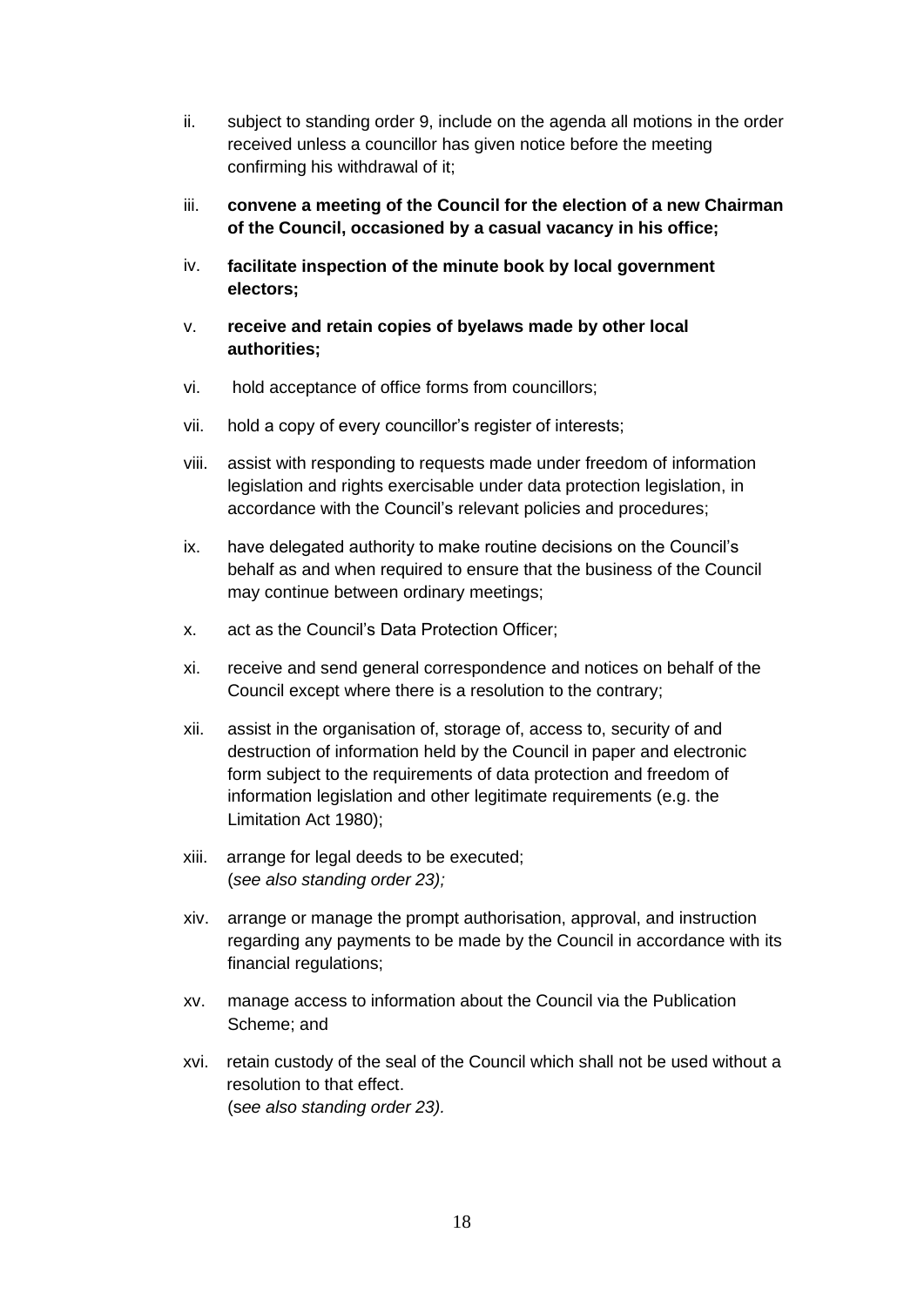- ii. subject to standing order 9, include on the agenda all motions in the order received unless a councillor has given notice before the meeting confirming his withdrawal of it;
- iii. **convene a meeting of the Council for the election of a new Chairman of the Council, occasioned by a casual vacancy in his office;**
- iv. **facilitate inspection of the minute book by local government electors;**
- v. **receive and retain copies of byelaws made by other local authorities;**
- vi. hold acceptance of office forms from councillors;
- vii. hold a copy of every councillor's register of interests;
- viii. assist with responding to requests made under freedom of information legislation and rights exercisable under data protection legislation, in accordance with the Council's relevant policies and procedures;
- ix. have delegated authority to make routine decisions on the Council's behalf as and when required to ensure that the business of the Council may continue between ordinary meetings;
- x. act as the Council's Data Protection Officer;
- xi. receive and send general correspondence and notices on behalf of the Council except where there is a resolution to the contrary;
- xii. assist in the organisation of, storage of, access to, security of and destruction of information held by the Council in paper and electronic form subject to the requirements of data protection and freedom of information legislation and other legitimate requirements (e.g. the Limitation Act 1980);
- xiii. arrange for legal deeds to be executed; (*see also standing order 23);*
- xiv. arrange or manage the prompt authorisation, approval, and instruction regarding any payments to be made by the Council in accordance with its financial regulations;
- xv. manage access to information about the Council via the Publication Scheme; and
- xvi. retain custody of the seal of the Council which shall not be used without a resolution to that effect. (s*ee also standing order 23).*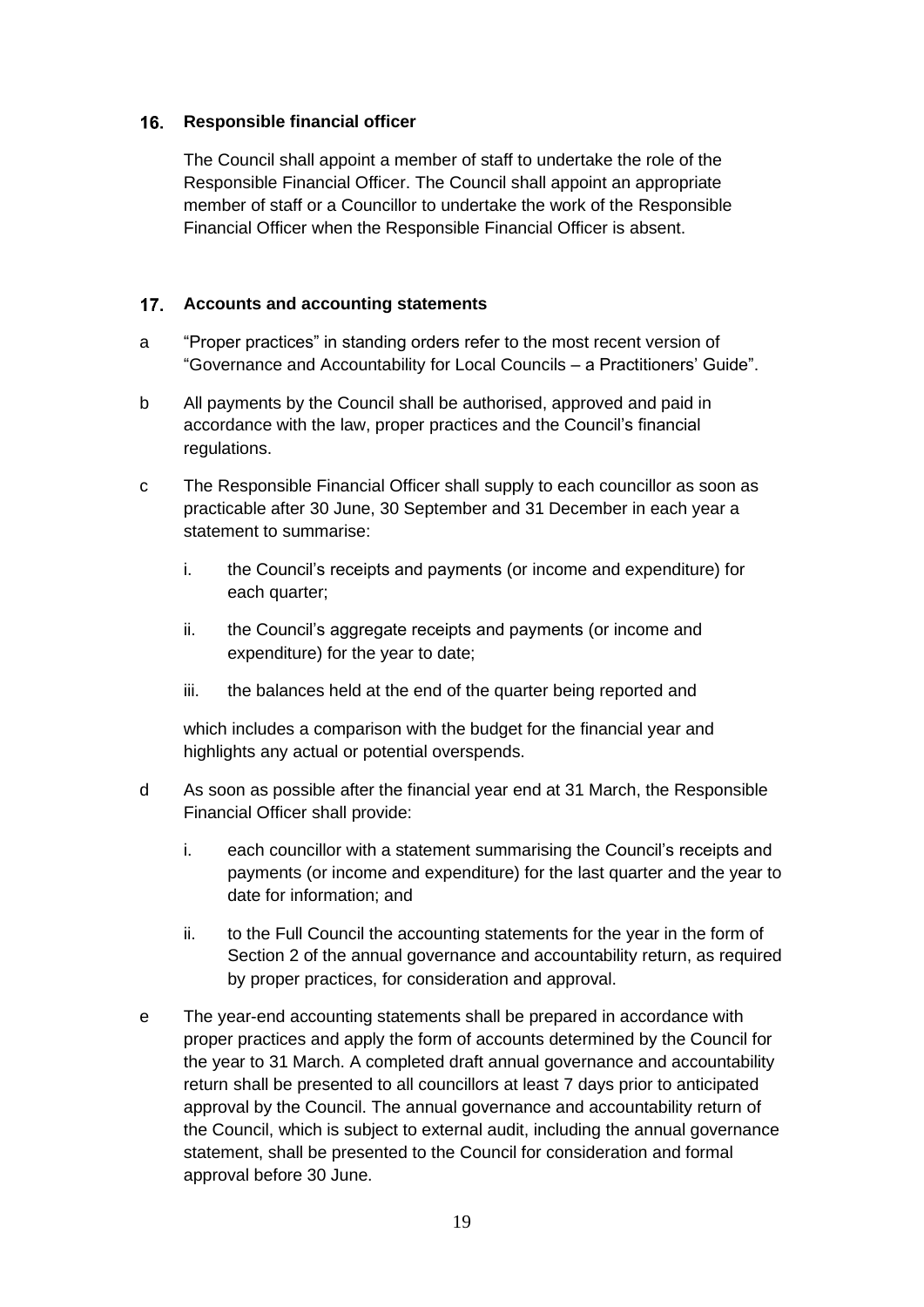# <span id="page-18-0"></span>16. Responsible financial officer

The Council shall appoint a member of staff to undertake the role of the Responsible Financial Officer. The Council shall appoint an appropriate member of staff or a Councillor to undertake the work of the Responsible Financial Officer when the Responsible Financial Officer is absent.

# <span id="page-18-1"></span>**Accounts and accounting statements**

- a "Proper practices" in standing orders refer to the most recent version of "Governance and Accountability for Local Councils – a Practitioners' Guide".
- b All payments by the Council shall be authorised, approved and paid in accordance with the law, proper practices and the Council's financial regulations.
- c The Responsible Financial Officer shall supply to each councillor as soon as practicable after 30 June, 30 September and 31 December in each year a statement to summarise:
	- i. the Council's receipts and payments (or income and expenditure) for each quarter;
	- ii. the Council's aggregate receipts and payments (or income and expenditure) for the year to date;
	- iii. the balances held at the end of the quarter being reported and

which includes a comparison with the budget for the financial year and highlights any actual or potential overspends.

- d As soon as possible after the financial year end at 31 March, the Responsible Financial Officer shall provide:
	- i. each councillor with a statement summarising the Council's receipts and payments (or income and expenditure) for the last quarter and the year to date for information; and
	- ii. to the Full Council the accounting statements for the year in the form of Section 2 of the annual governance and accountability return, as required by proper practices, for consideration and approval.
- e The year-end accounting statements shall be prepared in accordance with proper practices and apply the form of accounts determined by the Council for the year to 31 March. A completed draft annual governance and accountability return shall be presented to all councillors at least 7 days prior to anticipated approval by the Council. The annual governance and accountability return of the Council, which is subject to external audit, including the annual governance statement, shall be presented to the Council for consideration and formal approval before 30 June.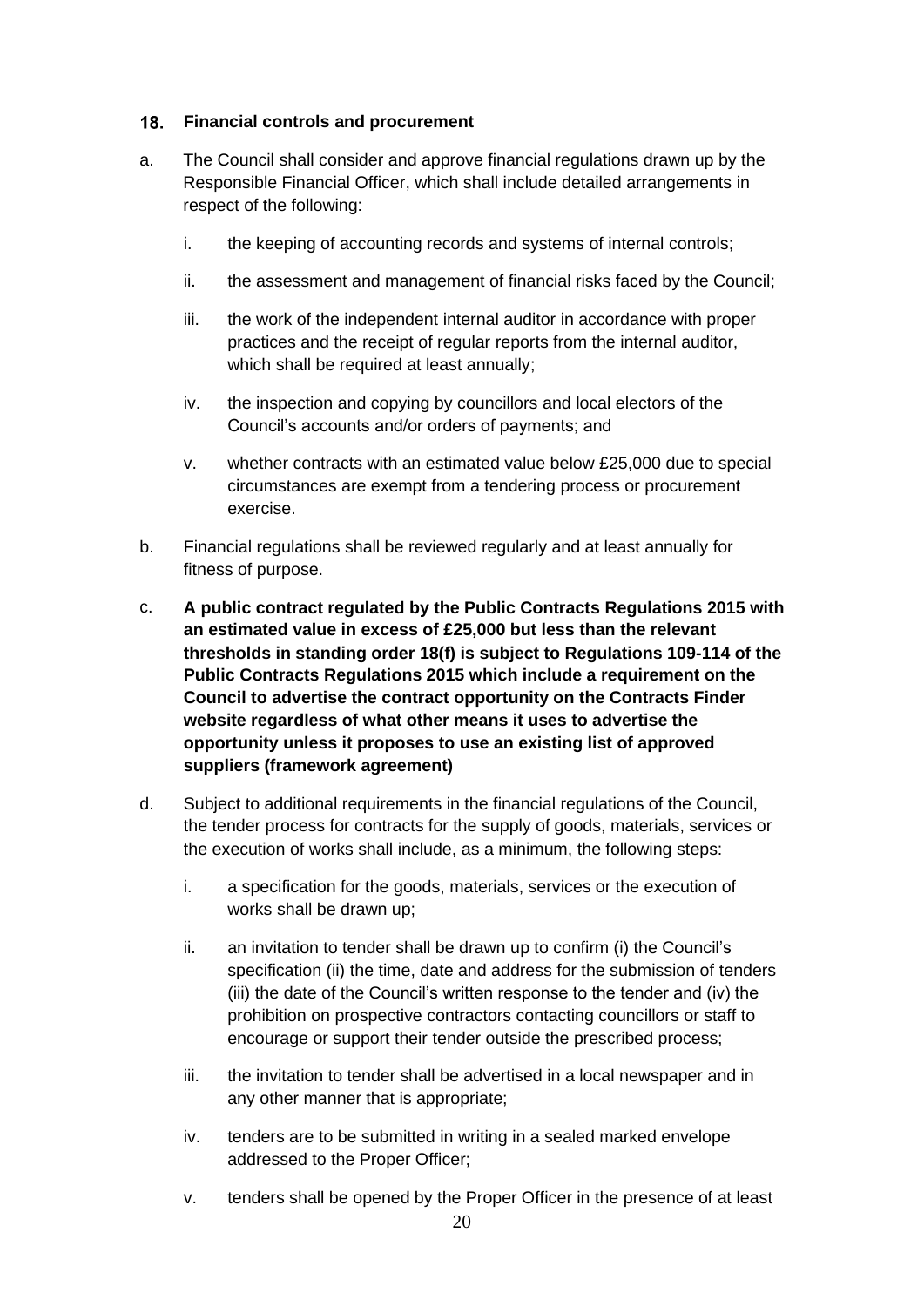## <span id="page-19-0"></span>**Financial controls and procurement**

- a. The Council shall consider and approve financial regulations drawn up by the Responsible Financial Officer, which shall include detailed arrangements in respect of the following:
	- i. the keeping of accounting records and systems of internal controls;
	- ii. the assessment and management of financial risks faced by the Council;
	- iii. the work of the independent internal auditor in accordance with proper practices and the receipt of regular reports from the internal auditor, which shall be required at least annually;
	- iv. the inspection and copying by councillors and local electors of the Council's accounts and/or orders of payments; and
	- v. whether contracts with an estimated value below £25,000 due to special circumstances are exempt from a tendering process or procurement exercise.
- b. Financial regulations shall be reviewed regularly and at least annually for fitness of purpose.
- c. **A public contract regulated by the Public Contracts Regulations 2015 with an estimated value in excess of £25,000 but less than the relevant thresholds in standing order 18(f) is subject to Regulations 109-114 of the Public Contracts Regulations 2015 which include a requirement on the Council to advertise the contract opportunity on the Contracts Finder website regardless of what other means it uses to advertise the opportunity unless it proposes to use an existing list of approved suppliers (framework agreement)**
- d. Subject to additional requirements in the financial regulations of the Council, the tender process for contracts for the supply of goods, materials, services or the execution of works shall include, as a minimum, the following steps:
	- i. a specification for the goods, materials, services or the execution of works shall be drawn up;
	- ii. an invitation to tender shall be drawn up to confirm (i) the Council's specification (ii) the time, date and address for the submission of tenders (iii) the date of the Council's written response to the tender and (iv) the prohibition on prospective contractors contacting councillors or staff to encourage or support their tender outside the prescribed process;
	- iii. the invitation to tender shall be advertised in a local newspaper and in any other manner that is appropriate;
	- iv. tenders are to be submitted in writing in a sealed marked envelope addressed to the Proper Officer;
	- v. tenders shall be opened by the Proper Officer in the presence of at least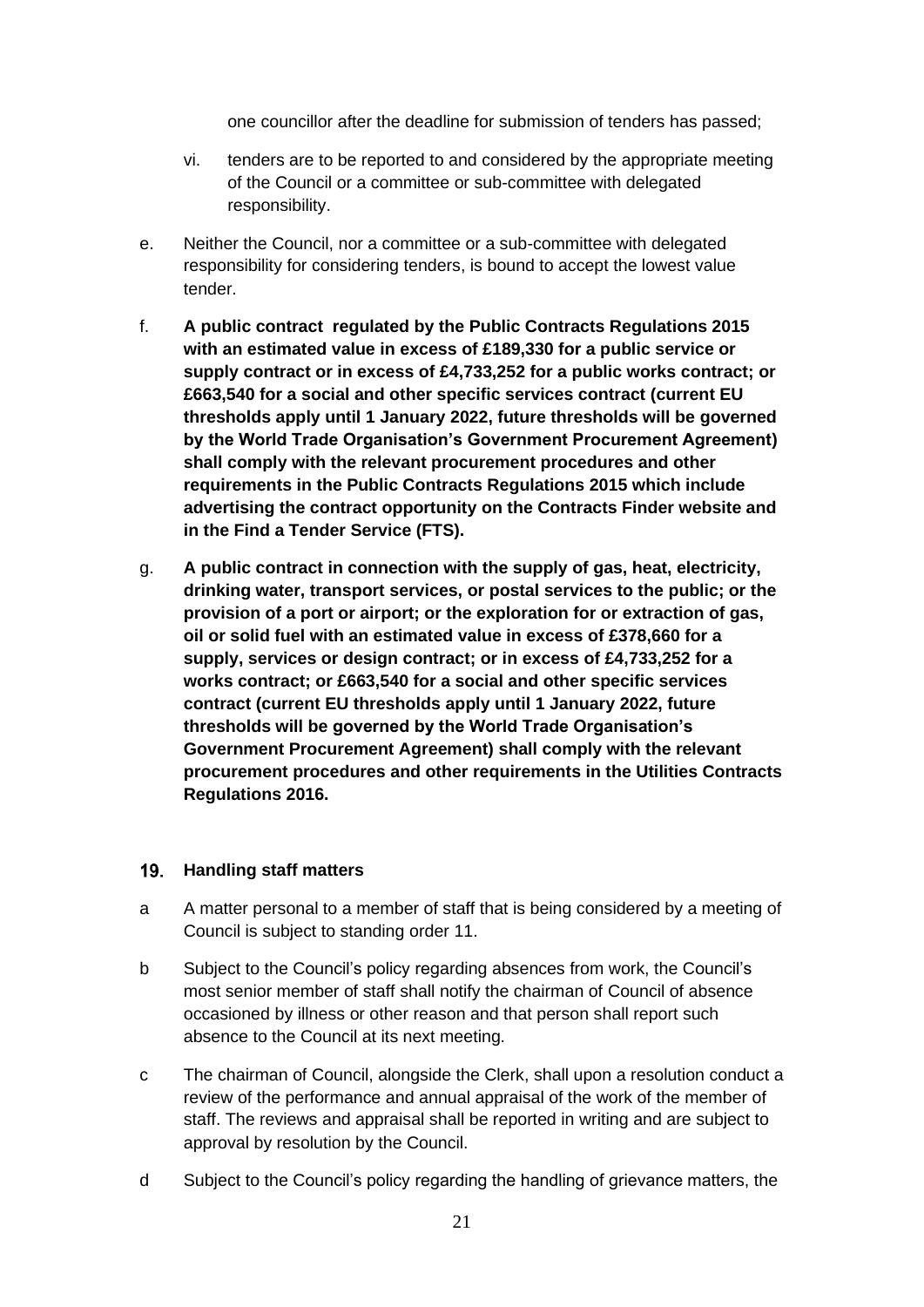one councillor after the deadline for submission of tenders has passed;

- vi. tenders are to be reported to and considered by the appropriate meeting of the Council or a committee or sub-committee with delegated responsibility.
- e. Neither the Council, nor a committee or a sub-committee with delegated responsibility for considering tenders, is bound to accept the lowest value tender.
- f. **A public contract regulated by the Public Contracts Regulations 2015 with an estimated value in excess of £189,330 for a public service or supply contract or in excess of £4,733,252 for a public works contract; or £663,540 for a social and other specific services contract (current EU thresholds apply until 1 January 2022, future thresholds will be governed by the World Trade Organisation's Government Procurement Agreement) shall comply with the relevant procurement procedures and other requirements in the Public Contracts Regulations 2015 which include advertising the contract opportunity on the Contracts Finder website and in the Find a Tender Service (FTS).**
- g. **A public contract in connection with the supply of gas, heat, electricity, drinking water, transport services, or postal services to the public; or the provision of a port or airport; or the exploration for or extraction of gas, oil or solid fuel with an estimated value in excess of £378,660 for a supply, services or design contract; or in excess of £4,733,252 for a works contract; or £663,540 for a social and other specific services contract (current EU thresholds apply until 1 January 2022, future thresholds will be governed by the World Trade Organisation's Government Procurement Agreement) shall comply with the relevant procurement procedures and other requirements in the Utilities Contracts Regulations 2016.**

### <span id="page-20-0"></span>**Handling staff matters**

- a A matter personal to a member of staff that is being considered by a meeting of Council is subject to standing order 11.
- b Subject to the Council's policy regarding absences from work, the Council's most senior member of staff shall notify the chairman of Council of absence occasioned by illness or other reason and that person shall report such absence to the Council at its next meeting.
- c The chairman of Council, alongside the Clerk, shall upon a resolution conduct a review of the performance and annual appraisal of the work of the member of staff. The reviews and appraisal shall be reported in writing and are subject to approval by resolution by the Council.
- d Subject to the Council's policy regarding the handling of grievance matters, the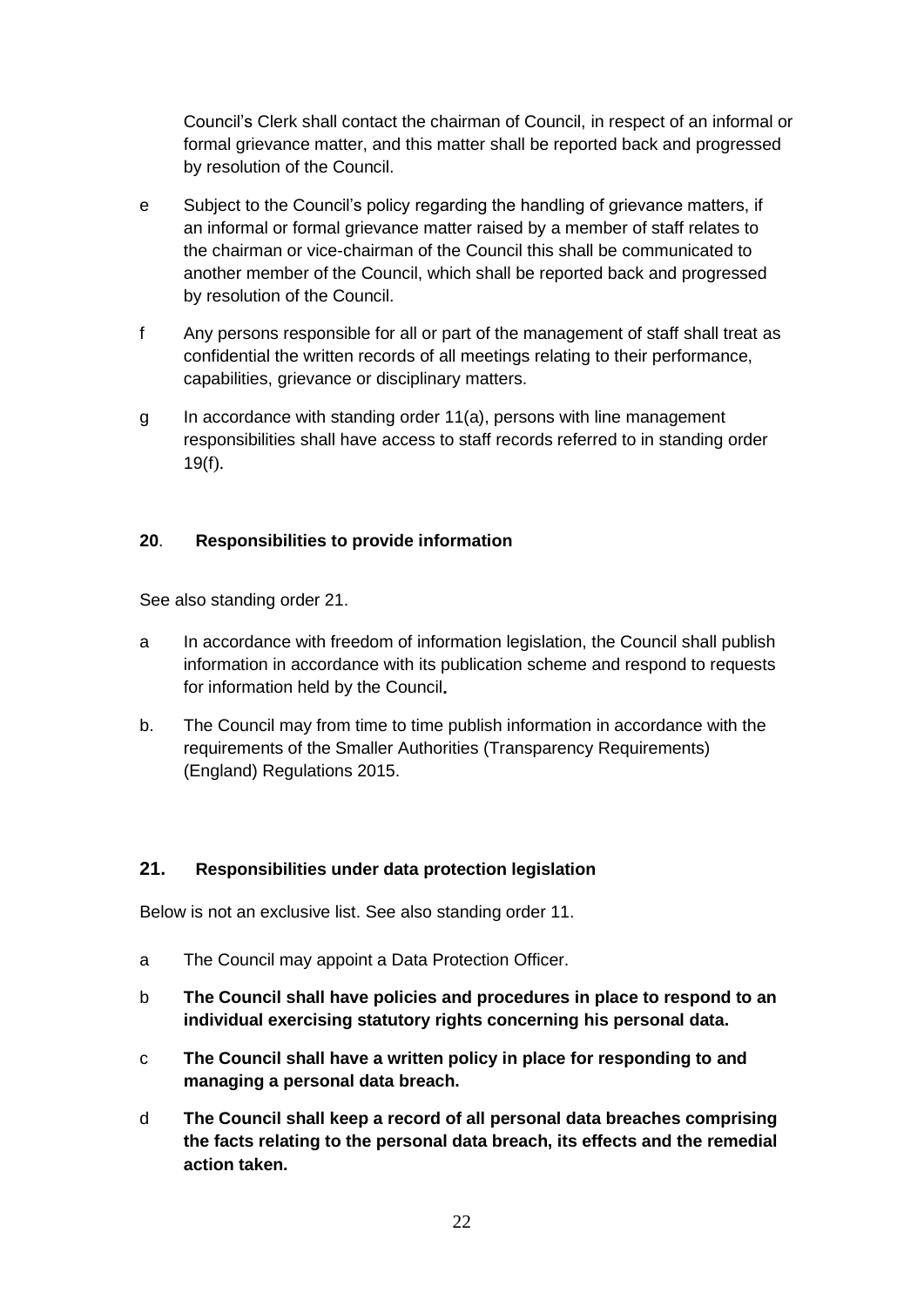Council's Clerk shall contact the chairman of Council, in respect of an informal or formal grievance matter, and this matter shall be reported back and progressed by resolution of the Council.

- e Subject to the Council's policy regarding the handling of grievance matters, if an informal or formal grievance matter raised by a member of staff relates to the chairman or vice-chairman of the Council this shall be communicated to another member of the Council, which shall be reported back and progressed by resolution of the Council.
- f Any persons responsible for all or part of the management of staff shall treat as confidential the written records of all meetings relating to their performance, capabilities, grievance or disciplinary matters.
- <span id="page-21-0"></span>g In accordance with standing order 11(a), persons with line management responsibilities shall have access to staff records referred to in standing order 19(f).

# **20**. **Responsibilities to provide information**

See also standing order 21.

- a In accordance with freedom of information legislation, the Council shall publish information in accordance with its publication scheme and respond to requests for information held by the Council**.**
- b. The Council may from time to time publish information in accordance with the requirements of the Smaller Authorities (Transparency Requirements) (England) Regulations 2015.

### <span id="page-21-1"></span>**21. Responsibilities under data protection legislation**

Below is not an exclusive list. See also standing order 11.

- a The Council may appoint a Data Protection Officer.
- b **The Council shall have policies and procedures in place to respond to an individual exercising statutory rights concerning his personal data.**
- c **The Council shall have a written policy in place for responding to and managing a personal data breach.**
- d **The Council shall keep a record of all personal data breaches comprising the facts relating to the personal data breach, its effects and the remedial action taken.**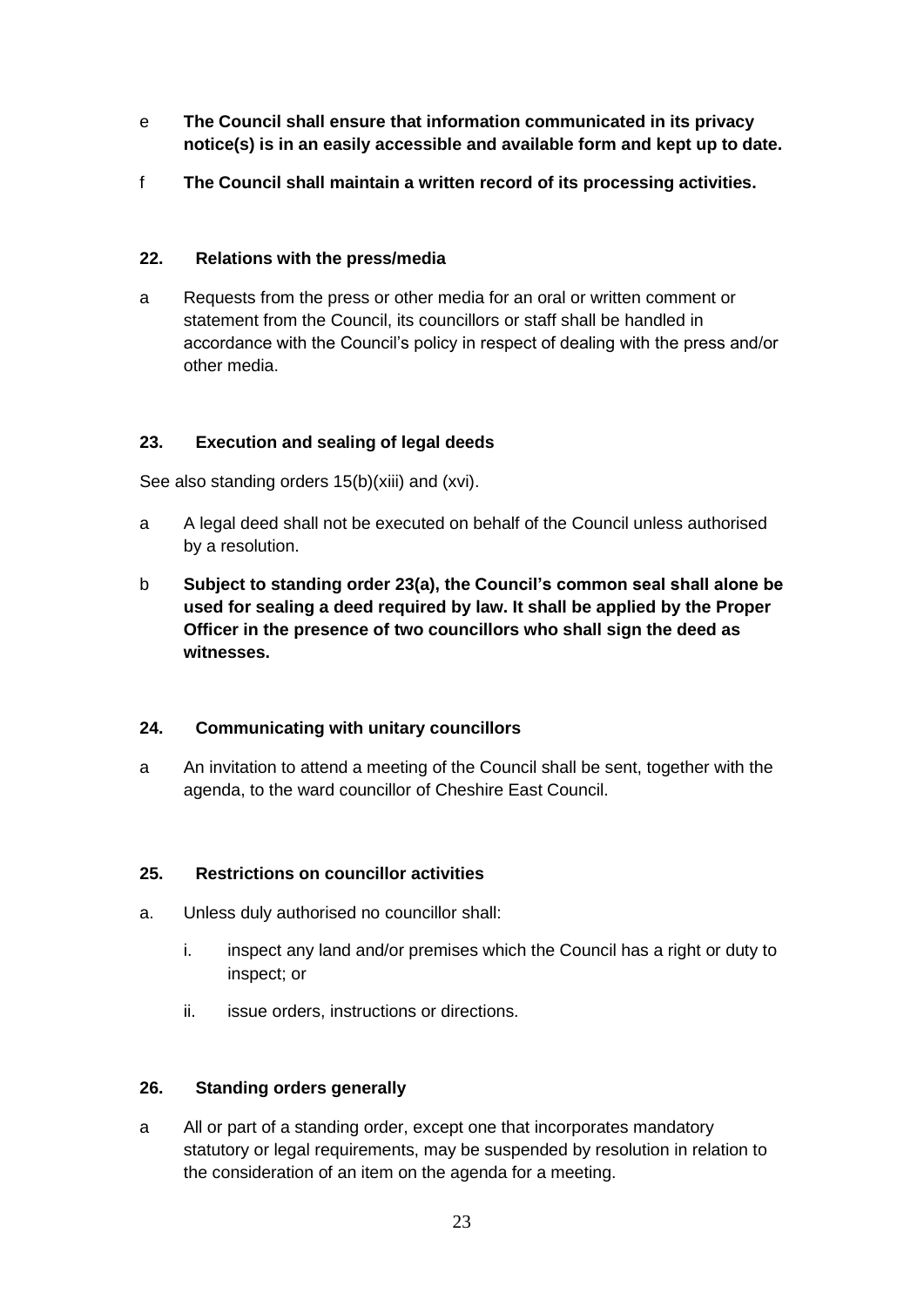- e **The Council shall ensure that information communicated in its privacy notice(s) is in an easily accessible and available form and kept up to date.**
- f **The Council shall maintain a written record of its processing activities.**

# <span id="page-22-0"></span>**22. Relations with the press/media**

a Requests from the press or other media for an oral or written comment or statement from the Council, its councillors or staff shall be handled in accordance with the Council's policy in respect of dealing with the press and/or other media.

# <span id="page-22-1"></span>**23. Execution and sealing of legal deeds**

See also standing orders 15(b)(xiii) and (xvi).

- a A legal deed shall not be executed on behalf of the Council unless authorised by a resolution.
- b **Subject to standing order 23(a), the Council's common seal shall alone be used for sealing a deed required by law. It shall be applied by the Proper Officer in the presence of two councillors who shall sign the deed as witnesses.**

# <span id="page-22-2"></span>**24. Communicating with unitary councillors**

a An invitation to attend a meeting of the Council shall be sent, together with the agenda, to the ward councillor of Cheshire East Council.

# <span id="page-22-3"></span>**25. Restrictions on councillor activities**

- a. Unless duly authorised no councillor shall:
	- i. inspect any land and/or premises which the Council has a right or duty to inspect; or
	- ii. issue orders, instructions or directions.

### <span id="page-22-4"></span>**26. Standing orders generally**

a All or part of a standing order, except one that incorporates mandatory statutory or legal requirements, may be suspended by resolution in relation to the consideration of an item on the agenda for a meeting.